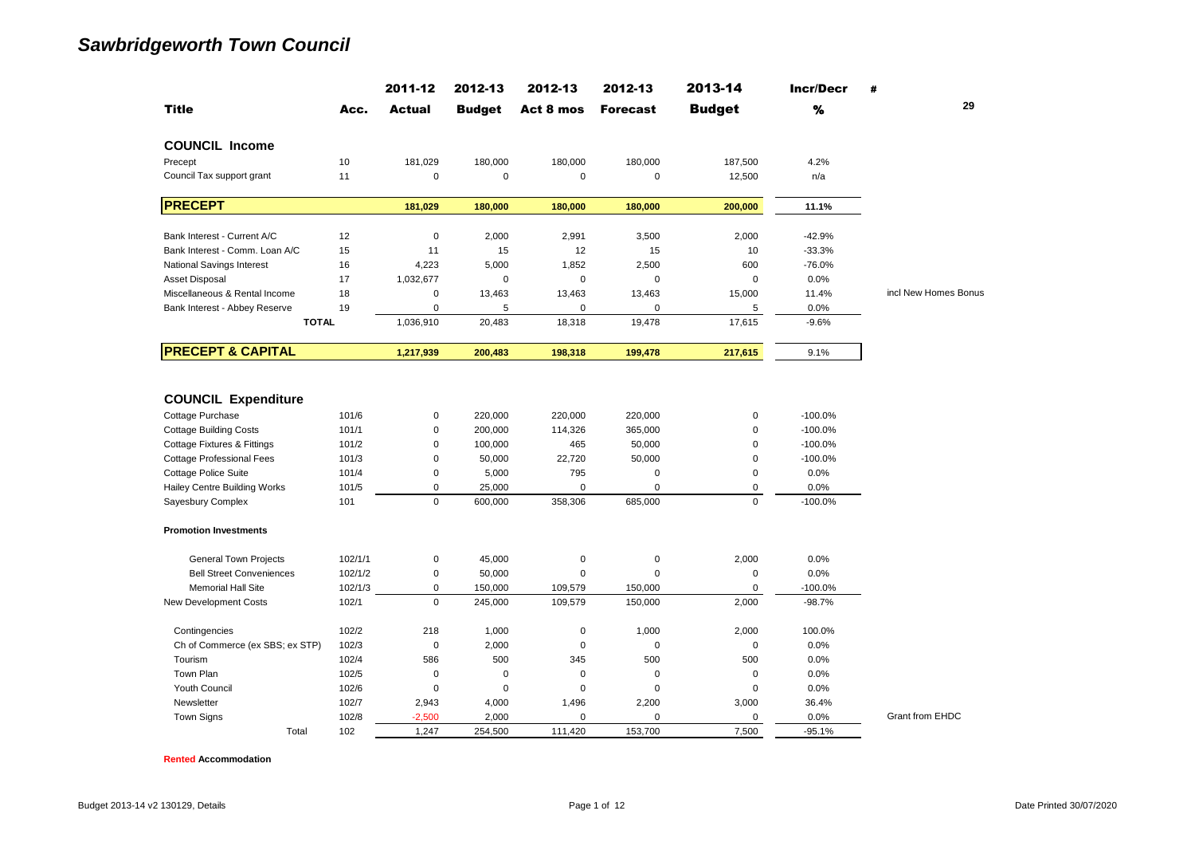|                                        |         | 2011-12       | 2012-13       | 2012-13     | 2012-13         | 2013-14       | <b>Incr/Decr</b> | #                    |
|----------------------------------------|---------|---------------|---------------|-------------|-----------------|---------------|------------------|----------------------|
| <b>Title</b>                           | Acc.    | <b>Actual</b> | <b>Budget</b> | Act 8 mos   | <b>Forecast</b> | <b>Budget</b> | %                | 29                   |
| <b>COUNCIL Income</b>                  |         |               |               |             |                 |               |                  |                      |
| Precept                                | 10      | 181,029       | 180,000       | 180,000     | 180,000         | 187,500       | 4.2%             |                      |
| Council Tax support grant              | 11      | $\pmb{0}$     | $\mathbf 0$   | 0           | $\pmb{0}$       | 12,500        | n/a              |                      |
| <b>PRECEPT</b>                         |         | 181,029       | 180,000       | 180,000     | 180,000         | 200,000       | 11.1%            |                      |
| Bank Interest - Current A/C            | 12      | $\pmb{0}$     | 2,000         | 2,991       | 3,500           | 2,000         | $-42.9%$         |                      |
| Bank Interest - Comm. Loan A/C         | 15      | 11            | 15            | 12          | 15              | 10            | $-33.3%$         |                      |
| <b>National Savings Interest</b>       | 16      | 4,223         | 5,000         | 1,852       | 2,500           | 600           | $-76.0%$         |                      |
| <b>Asset Disposal</b>                  | 17      | 1,032,677     | $\mathsf 0$   | 0           | 0               | $\pmb{0}$     | 0.0%             |                      |
| Miscellaneous & Rental Income          | 18      | $\pmb{0}$     | 13,463        | 13,463      | 13,463          | 15,000        | 11.4%            | incl New Homes Bonus |
| Bank Interest - Abbey Reserve          | 19      | $\mathbf 0$   | 5             | $\mathbf 0$ | 0               | 5             | 0.0%             |                      |
| <b>TOTAL</b>                           |         | 1,036,910     | 20,483        | 18,318      | 19,478          | 17,615        | $-9.6%$          |                      |
| <b>PRECEPT &amp; CAPITAL</b>           |         | 1,217,939     | 200,483       | 198,318     | 199,478         | 217,615       | 9.1%             |                      |
|                                        |         |               |               |             |                 |               |                  |                      |
| <b>COUNCIL Expenditure</b>             |         |               |               |             |                 |               |                  |                      |
| Cottage Purchase                       | 101/6   | 0             | 220,000       | 220,000     | 220,000         | 0             | $-100.0%$        |                      |
| <b>Cottage Building Costs</b>          | 101/1   | $\mathsf 0$   | 200,000       | 114,326     | 365,000         | $\mathsf 0$   | $-100.0%$        |                      |
| <b>Cottage Fixtures &amp; Fittings</b> | 101/2   | $\pmb{0}$     | 100,000       | 465         | 50,000          | $\mathbf 0$   | $-100.0%$        |                      |
| <b>Cottage Professional Fees</b>       | 101/3   | $\pmb{0}$     | 50,000        | 22,720      | 50,000          | $\pmb{0}$     | $-100.0%$        |                      |
| <b>Cottage Police Suite</b>            | 101/4   | $\pmb{0}$     | 5,000         | 795         | 0               | $\pmb{0}$     | 0.0%             |                      |
| <b>Hailey Centre Building Works</b>    | 101/5   | $\mathbf 0$   | 25,000        | 0           | $\overline{0}$  | $\mathbf 0$   | 0.0%             |                      |
| Sayesbury Complex                      | 101     | $\Omega$      | 600,000       | 358,306     | 685,000         | $\pmb{0}$     | $-100.0%$        |                      |
| <b>Promotion Investments</b>           |         |               |               |             |                 |               |                  |                      |
| <b>General Town Projects</b>           | 102/1/1 | $\pmb{0}$     | 45,000        | 0           | $\mathsf 0$     | 2,000         | 0.0%             |                      |
| <b>Bell Street Conveniences</b>        | 102/1/2 | $\pmb{0}$     | 50,000        | $\mathbf 0$ | $\mathbf 0$     | $\pmb{0}$     | 0.0%             |                      |
| <b>Memorial Hall Site</b>              | 102/1/3 | $\mathbf 0$   | 150,000       | 109,579     | 150,000         | $\mathbf 0$   | $-100.0%$        |                      |
| New Development Costs                  | 102/1   | $\Omega$      | 245,000       | 109,579     | 150,000         | 2,000         | $-98.7%$         |                      |
| Contingencies                          | 102/2   | 218           | 1,000         | $\mathbf 0$ | 1,000           | 2,000         | 100.0%           |                      |
| Ch of Commerce (ex SBS; ex STP)        | 102/3   | $\mathbf 0$   | 2,000         | $\mathsf 0$ | $\overline{0}$  | 0             | 0.0%             |                      |
| Tourism                                | 102/4   | 586           | 500           | 345         | 500             | 500           | 0.0%             |                      |
| Town Plan                              | 102/5   | $\mathbf 0$   | $\mathbf 0$   | $\mathbf 0$ | 0               | $\mathbf 0$   | 0.0%             |                      |
| Youth Council                          | 102/6   | $\pmb{0}$     | $\mathbf 0$   | 0           | 0               | $\pmb{0}$     | 0.0%             |                      |
| Newsletter                             | 102/7   | 2,943         | 4,000         | 1,496       | 2,200           | 3,000         | 36.4%            |                      |
| <b>Town Signs</b>                      | 102/8   | $-2,500$      | 2,000         | 0           | 0               | $\mathbf 0$   | 0.0%             | Grant from EHDC      |
| Total                                  | 102     | 1.247         | 254,500       | 111,420     | 153,700         | 7.500         | $-95.1%$         |                      |

**Rented Accommodation**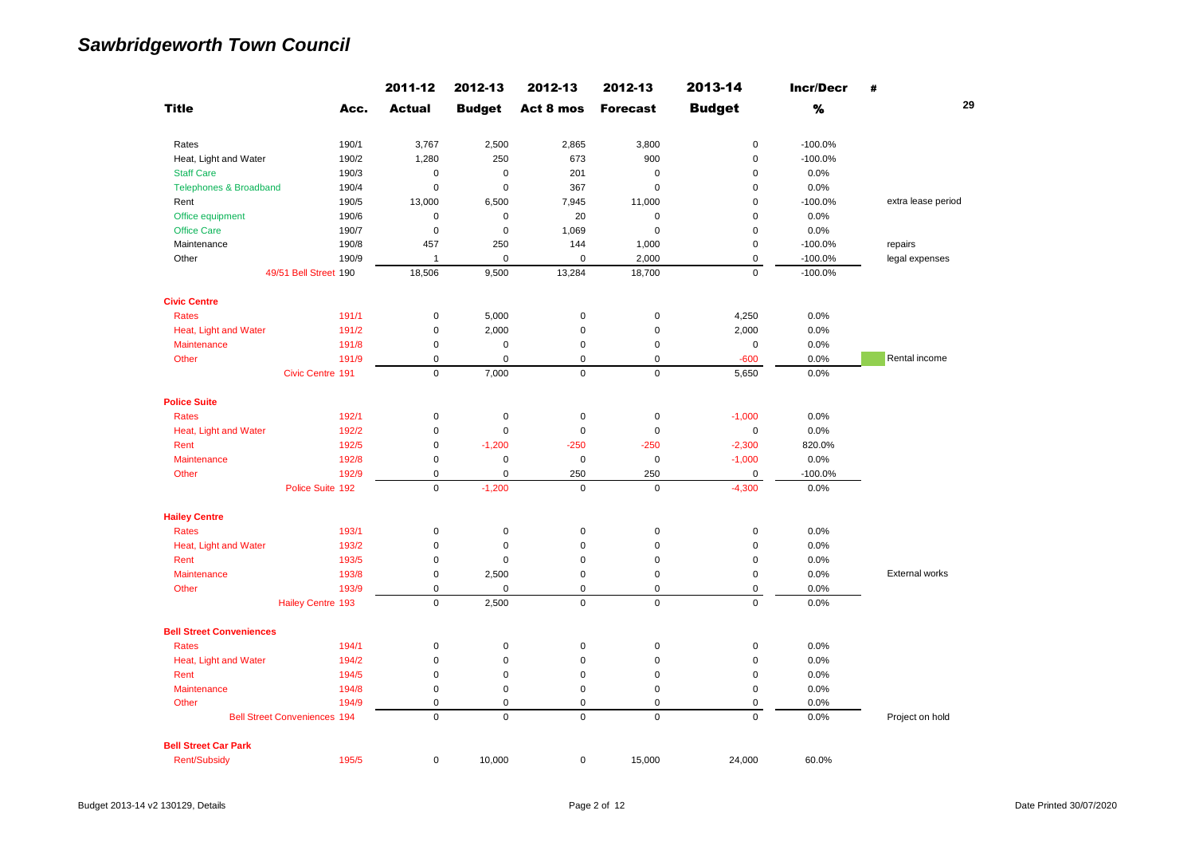|                                     |       | 2011-12       | 2012-13       | 2012-13     | 2012-13         | 2013-14       | <b>Incr/Decr</b> | #                  |
|-------------------------------------|-------|---------------|---------------|-------------|-----------------|---------------|------------------|--------------------|
| <b>Title</b>                        | Acc.  | <b>Actual</b> | <b>Budget</b> | Act 8 mos   | <b>Forecast</b> | <b>Budget</b> | $\%$             | 29                 |
| Rates                               | 190/1 | 3,767         | 2,500         | 2,865       | 3,800           | $\pmb{0}$     | $-100.0%$        |                    |
| Heat, Light and Water               | 190/2 | 1,280         | 250           | 673         | 900             | $\mathsf 0$   | $-100.0%$        |                    |
| <b>Staff Care</b>                   | 190/3 | $\mathbf 0$   | $\mathbf 0$   | 201         | $\mathbf 0$     | $\mathsf 0$   | 0.0%             |                    |
| <b>Telephones &amp; Broadband</b>   | 190/4 | $\pmb{0}$     | $\mathbf 0$   | 367         | $\mathbf 0$     | $\mathsf 0$   | 0.0%             |                    |
| Rent                                | 190/5 | 13,000        | 6,500         | 7,945       | 11,000          | $\mathbf 0$   | $-100.0%$        | extra lease period |
| Office equipment                    | 190/6 | $\pmb{0}$     | $\pmb{0}$     | 20          | $\mathbf 0$     | $\mathbf 0$   | 0.0%             |                    |
| <b>Office Care</b>                  | 190/7 | $\mathbf 0$   | $\mathbf 0$   | 1,069       | $\mathbf 0$     | 0             | 0.0%             |                    |
| Maintenance                         | 190/8 | 457           | 250           | 144         | 1,000           | 0             | $-100.0%$        | repairs            |
| Other                               | 190/9 | $\mathbf{1}$  | $\mathbf 0$   | $\mathbf 0$ | 2,000           | 0             | $-100.0%$        | legal expenses     |
| 49/51 Bell Street 190               |       | 18,506        | 9,500         | 13,284      | 18,700          | $\mathbf 0$   | $-100.0%$        |                    |
| <b>Civic Centre</b>                 |       |               |               |             |                 |               |                  |                    |
| <b>Rates</b>                        | 191/1 | $\pmb{0}$     | 5,000         | $\mathsf 0$ | $\pmb{0}$       | 4,250         | 0.0%             |                    |
| Heat, Light and Water               | 191/2 | $\pmb{0}$     | 2,000         | $\pmb{0}$   | $\mathsf 0$     | 2,000         | 0.0%             |                    |
| Maintenance                         | 191/8 | $\pmb{0}$     | $\pmb{0}$     | $\pmb{0}$   | $\pmb{0}$       | $\pmb{0}$     | 0.0%             |                    |
| Other                               | 191/9 | $\pmb{0}$     | $\mathbf 0$   | $\mathsf 0$ | $\mathbf 0$     | $-600$        | 0.0%             | Rental income      |
| Civic Centre 191                    |       | $\mathbf 0$   | 7,000         | $\mathbf 0$ | $\mathbf 0$     | 5,650         | 0.0%             |                    |
| <b>Police Suite</b>                 |       |               |               |             |                 |               |                  |                    |
| Rates                               | 192/1 | $\mathbf 0$   | $\pmb{0}$     | $\pmb{0}$   | $\mathbf 0$     | $-1,000$      | 0.0%             |                    |
| Heat, Light and Water               | 192/2 | $\pmb{0}$     | $\mathbf 0$   | $\mathbf 0$ | $\pmb{0}$       | $\mathbf 0$   | 0.0%             |                    |
| Rent                                | 192/5 | $\mathbf 0$   | $-1,200$      | $-250$      | $-250$          | $-2,300$      | 820.0%           |                    |
| Maintenance                         | 192/8 | $\mathbf 0$   | $\pmb{0}$     | $\pmb{0}$   | $\pmb{0}$       | $-1,000$      | 0.0%             |                    |
| Other                               | 192/9 | $\pmb{0}$     | $\mathbf 0$   | 250         | 250             | $\pmb{0}$     | $-100.0%$        |                    |
| Police Suite 192                    |       | $\mathbf 0$   | $-1,200$      | $\mathbf 0$ | $\mathbf{0}$    | $-4,300$      | 0.0%             |                    |
| <b>Hailey Centre</b>                |       |               |               |             |                 |               |                  |                    |
| <b>Rates</b>                        | 193/1 | $\mathbf 0$   | $\pmb{0}$     | $\pmb{0}$   | $\pmb{0}$       | $\pmb{0}$     | 0.0%             |                    |
| Heat, Light and Water               | 193/2 | $\mathbf 0$   | $\mathbf 0$   | $\mathbf 0$ | $\mathbf 0$     | $\mathbf 0$   | 0.0%             |                    |
| Rent                                | 193/5 | $\pmb{0}$     | $\mathbf 0$   | $\pmb{0}$   | $\pmb{0}$       | 0             | 0.0%             |                    |
| Maintenance                         | 193/8 | $\mathbf 0$   | 2,500         | $\pmb{0}$   | $\pmb{0}$       | $\mathsf 0$   | 0.0%             | External works     |
| Other                               | 193/9 | $\mathbf 0$   | $\mathbf 0$   | $\mathbf 0$ | 0               | $\mathsf 0$   | 0.0%             |                    |
| <b>Hailey Centre 193</b>            |       | $\Omega$      | 2,500         | $\mathbf 0$ | $\Omega$        | $\mathbf 0$   | 0.0%             |                    |
| <b>Bell Street Conveniences</b>     |       |               |               |             |                 |               |                  |                    |
| <b>Rates</b>                        | 194/1 | $\mathbf 0$   | $\mathbf 0$   | $\mathbf 0$ | $\mathbf 0$     | $\mathsf 0$   | 0.0%             |                    |
| Heat, Light and Water               | 194/2 | $\pmb{0}$     | $\mathbf 0$   | $\mathbf 0$ | $\pmb{0}$       | $\mathsf 0$   | 0.0%             |                    |
| Rent                                | 194/5 | $\mathbf 0$   | $\mathbf 0$   | $\mathbf 0$ | $\pmb{0}$       | $\mathsf 0$   | 0.0%             |                    |
| Maintenance                         | 194/8 | $\mathbf 0$   | $\mathbf 0$   | $\mathsf 0$ | $\pmb{0}$       | $\mathsf 0$   | 0.0%             |                    |
| Other                               | 194/9 | $\pmb{0}$     | $\mathbf 0$   | $\mathsf 0$ | $\mathbf 0$     | 0             | 0.0%             |                    |
| <b>Bell Street Conveniences 194</b> |       | $\Omega$      | $\mathbf 0$   | $\mathbf 0$ | $\mathbf 0$     | $\mathbf 0$   | 0.0%             | Project on hold    |
| <b>Bell Street Car Park</b>         |       |               |               |             |                 |               |                  |                    |
| <b>Rent/Subsidy</b>                 | 195/5 | $\mathbf 0$   | 10,000        | $\mathsf 0$ | 15,000          | 24,000        | 60.0%            |                    |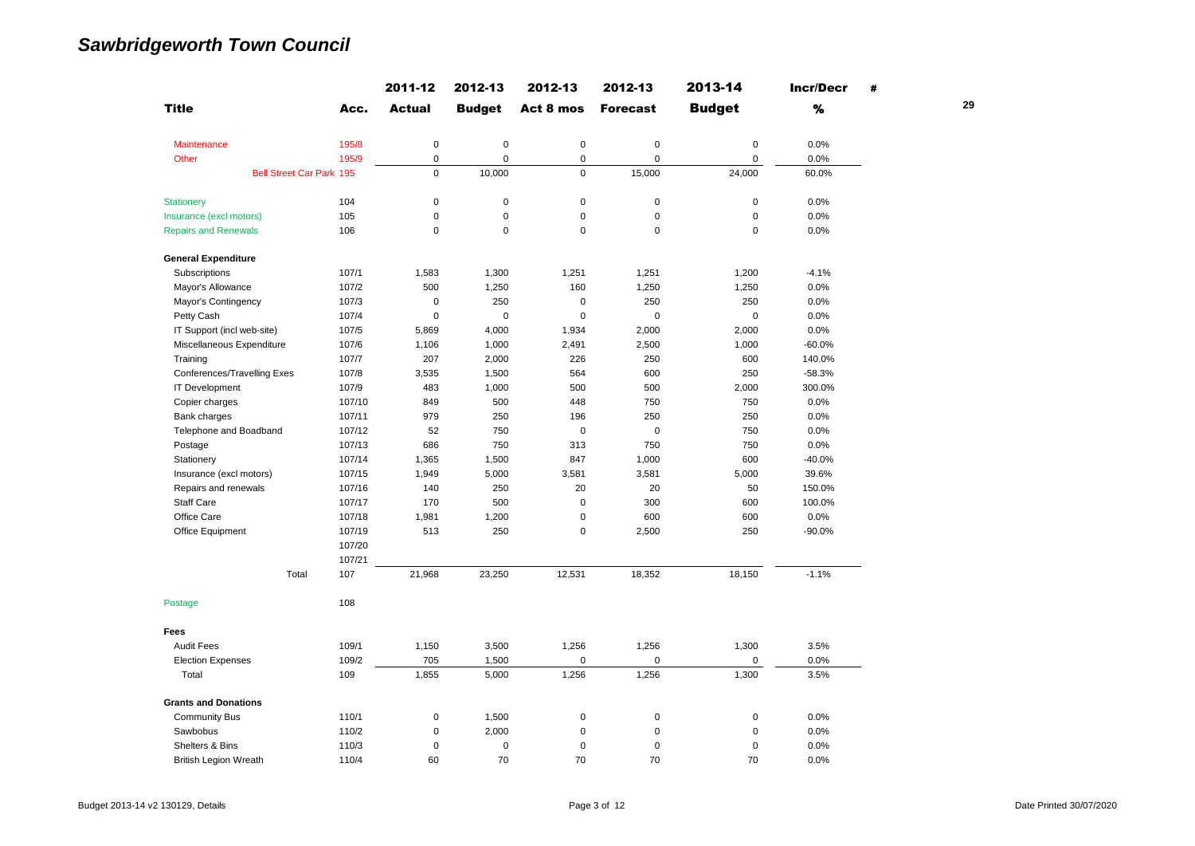|                                    |        | 2011-12       | 2012-13       | 2012-13     | 2012-13         | 2013-14       | <b>Incr/Decr</b> | #  |
|------------------------------------|--------|---------------|---------------|-------------|-----------------|---------------|------------------|----|
| <b>Title</b>                       | Acc.   | <b>Actual</b> | <b>Budget</b> | Act 8 mos   | <b>Forecast</b> | <b>Budget</b> | %                | 29 |
| Maintenance                        | 195/8  | $\mathbf 0$   | $\pmb{0}$     | $\pmb{0}$   | $\mathbf 0$     | $\mathbf 0$   | 0.0%             |    |
| Other                              | 195/9  | $\pmb{0}$     | $\mathbf 0$   | 0           | $\mathbf 0$     | $\mathbf 0$   | 0.0%             |    |
| <b>Bell Street Car Park 195</b>    |        | $\mathbf 0$   | 10,000        | $\mathbf 0$ | 15,000          | 24,000        | 60.0%            |    |
| <b>Stationery</b>                  | 104    | $\mathbf 0$   | $\mathbf 0$   | $\pmb{0}$   | $\mathbf 0$     | $\pmb{0}$     | 0.0%             |    |
| Insurance (excl motors)            | 105    | $\mathbf 0$   | $\mathbf 0$   | $\mathsf 0$ | $\mathbf 0$     | $\mathsf 0$   | 0.0%             |    |
| <b>Repairs and Renewals</b>        | 106    | $\mathbf 0$   | $\mathbf 0$   | $\mathbf 0$ | $\mathbf 0$     | $\pmb{0}$     | 0.0%             |    |
| <b>General Expenditure</b>         |        |               |               |             |                 |               |                  |    |
| Subscriptions                      | 107/1  | 1,583         | 1,300         | 1,251       | 1,251           | 1,200         | $-4.1%$          |    |
| Mayor's Allowance                  | 107/2  | 500           | 1,250         | 160         | 1,250           | 1,250         | 0.0%             |    |
| Mayor's Contingency                | 107/3  | $\mathbf 0$   | 250           | 0           | 250             | 250           | 0.0%             |    |
| Petty Cash                         | 107/4  | $\mathbf 0$   | $\pmb{0}$     | $\mathbf 0$ | $\pmb{0}$       | $\pmb{0}$     | 0.0%             |    |
| IT Support (incl web-site)         | 107/5  | 5,869         | 4,000         | 1,934       | 2,000           | 2,000         | 0.0%             |    |
| Miscellaneous Expenditure          | 107/6  | 1,106         | 1,000         | 2,491       | 2,500           | 1,000         | $-60.0%$         |    |
| Training                           | 107/7  | 207           | 2,000         | 226         | 250             | 600           | 140.0%           |    |
| <b>Conferences/Travelling Exes</b> | 107/8  | 3,535         | 1,500         | 564         | 600             | 250           | $-58.3%$         |    |
| <b>IT Development</b>              | 107/9  | 483           | 1,000         | 500         | 500             | 2,000         | 300.0%           |    |
| Copier charges                     | 107/10 | 849           | 500           | 448         | 750             | 750           | 0.0%             |    |
| Bank charges                       | 107/11 | 979           | 250           | 196         | 250             | 250           | 0.0%             |    |
| Telephone and Boadband             | 107/12 | 52            | 750           | $\mathbf 0$ | $\mathbf 0$     | 750           | 0.0%             |    |
| Postage                            | 107/13 | 686           | 750           | 313         | 750             | 750           | 0.0%             |    |
| Stationery                         | 107/14 | 1,365         | 1,500         | 847         | 1,000           | 600           | $-40.0%$         |    |
| Insurance (excl motors)            | 107/15 | 1,949         | 5,000         | 3,581       | 3,581           | 5,000         | 39.6%            |    |
| Repairs and renewals               | 107/16 | 140           | 250           | 20          | 20              | 50            | 150.0%           |    |
| <b>Staff Care</b>                  | 107/17 | 170           | 500           | $\mathbf 0$ | 300             | 600           | 100.0%           |    |
| Office Care                        | 107/18 | 1,981         | 1,200         | $\mathbf 0$ | 600             | 600           | 0.0%             |    |
| Office Equipment                   | 107/19 | 513           | 250           | 0           | 2,500           | 250           | $-90.0%$         |    |
|                                    | 107/20 |               |               |             |                 |               |                  |    |
|                                    | 107/21 |               |               |             |                 |               |                  |    |
| Total                              | 107    | 21,968        | 23,250        | 12,531      | 18,352          | 18,150        | $-1.1%$          |    |
| Postage                            | 108    |               |               |             |                 |               |                  |    |
| Fees                               |        |               |               |             |                 |               |                  |    |
| <b>Audit Fees</b>                  | 109/1  | 1,150         | 3,500         | 1,256       | 1,256           | 1,300         | 3.5%             |    |
| <b>Election Expenses</b>           | 109/2  | 705           | 1,500         | 0           | $\pmb{0}$       | $\pmb{0}$     | 0.0%             |    |
| Total                              | 109    | 1,855         | 5,000         | 1,256       | 1,256           | 1,300         | 3.5%             |    |
| <b>Grants and Donations</b>        |        |               |               |             |                 |               |                  |    |
| <b>Community Bus</b>               | 110/1  | $\pmb{0}$     | 1,500         | $\pmb{0}$   | 0               | 0             | 0.0%             |    |
| Sawbobus                           | 110/2  | $\pmb{0}$     | 2,000         | 0           | $\pmb{0}$       | 0             | 0.0%             |    |
| Shelters & Bins                    | 110/3  | 0             | $\pmb{0}$     | 0           | $\pmb{0}$       | 0             | 0.0%             |    |
| <b>British Legion Wreath</b>       | 110/4  | 60            | 70            | 70          | 70              | 70            | 0.0%             |    |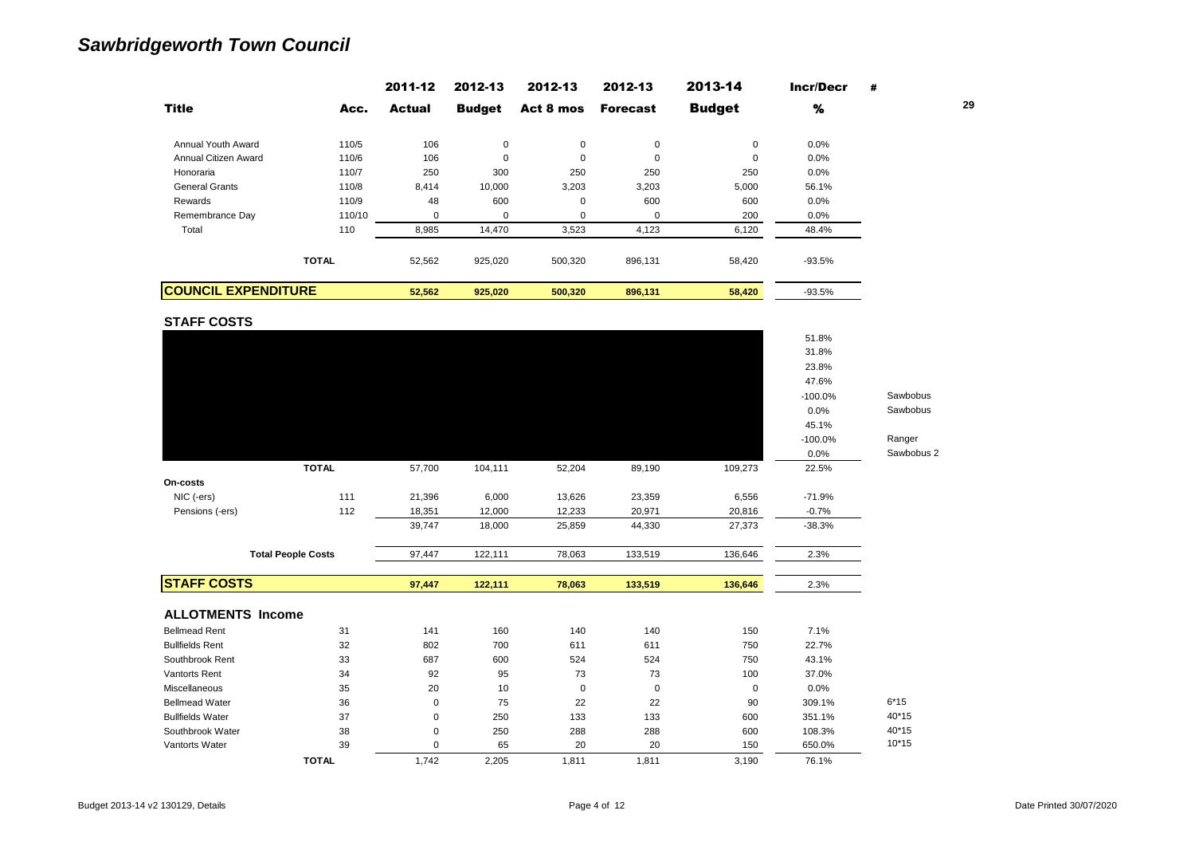|                            |              | 2011-12       | 2012-13       | 2012-13     | 2012-13         | 2013-14       | <b>Incr/Decr</b> | # |    |
|----------------------------|--------------|---------------|---------------|-------------|-----------------|---------------|------------------|---|----|
| <b>Title</b>               | Acc.         | <b>Actual</b> | <b>Budget</b> | Act 8 mos   | <b>Forecast</b> | <b>Budget</b> | %                |   | 29 |
| Annual Youth Award         | 110/5        | 106           | 0             | $\mathbf 0$ | 0               | 0             | 0.0%             |   |    |
| Annual Citizen Award       | 110/6        | 106           | 0             | 0           | $\mathbf 0$     | 0             | 0.0%             |   |    |
| Honoraria                  | 110/7        | 250           | 300           | 250         | 250             | 250           | $0.0\%$          |   |    |
| <b>General Grants</b>      | 110/8        | 8,414         | 10,000        | 3,203       | 3,203           | 5,000         | 56.1%            |   |    |
| Rewards                    | 110/9        | 48            | 600           | 0           | 600             | 600           | $0.0\%$          |   |    |
| Remembrance Day            | 110/10       | $\Omega$      | $\mathbf 0$   | 0           | $\mathbf 0$     | 200           | 0.0%             |   |    |
| Total                      | 110          | 8,985         | 14,470        | 3,523       | 4,123           | 6,120         | 48.4%            |   |    |
|                            | <b>TOTAL</b> | 52,562        | 925,020       | 500,320     | 896,131         | 58,420        | $-93.5%$         |   |    |
| <b>COUNCIL EXPENDITURE</b> |              | 52,562        | 925,020       | 500,320     | 896,131         | 58,420        | $-93.5%$         |   |    |

**STAFF COSTS**

|                          | <b>TOTAL</b>              | 1,742       | 2,205   | 1,811       | 1,811       | 3,190       | 76.1%          |            |
|--------------------------|---------------------------|-------------|---------|-------------|-------------|-------------|----------------|------------|
| Vantorts Water           | 39                        | $\mathbf 0$ | 65      | 20          | 20          | 150         | 650.0%         | $10*15$    |
| Southbrook Water         | 38                        | $\pmb{0}$   | 250     | 288         | 288         | 600         | 108.3%         | 40*15      |
| <b>Bullfields Water</b>  | 37                        | $\mathbf 0$ | 250     | 133         | 133         | 600         | 351.1%         | 40*15      |
| <b>Bellmead Water</b>    | 36                        | $\mathbf 0$ | 75      | 22          | 22          | 90          | 309.1%         | $6*15$     |
| Miscellaneous            | 35                        | 20          | 10      | $\mathbf 0$ | $\mathbf 0$ | $\mathbf 0$ | 0.0%           |            |
| <b>Vantorts Rent</b>     | 34                        | 92          | 95      | 73          | 73          | 100         | 37.0%          |            |
| Southbrook Rent          | 33                        | 687         | 600     | 524         | 524         | 750         | 43.1%          |            |
| <b>Bullfields Rent</b>   | 32                        | 802         | 700     | 611         | 611         | 750         | 22.7%          |            |
| <b>Bellmead Rent</b>     | 31                        | 141         | 160     | 140         | 140         | 150         | 7.1%           |            |
| <b>ALLOTMENTS Income</b> |                           |             |         |             |             |             |                |            |
| <b>STAFF COSTS</b>       |                           | 97,447      | 122,111 | 78,063      | 133,519     | 136,646     | 2.3%           |            |
|                          | <b>Total People Costs</b> | 97,447      | 122,111 | 78,063      | 133,519     | 136,646     | 2.3%           |            |
|                          |                           |             |         |             |             |             |                |            |
|                          |                           | 39,747      | 18,000  | 25,859      | 44,330      | 27,373      | $-38.3%$       |            |
| Pensions (-ers)          | 112                       | 18,351      | 12,000  | 12,233      | 20,971      | 20,816      | $-0.7%$        |            |
| NIC (-ers)               | 111                       | 21,396      | 6,000   | 13,626      | 23,359      | 6,556       | $-71.9%$       |            |
| On-costs                 |                           |             |         |             |             |             |                |            |
|                          | <b>TOTAL</b>              | 57,700      | 104,111 | 52,204      | 89,190      | 109,273     | 22.5%          |            |
|                          |                           |             |         |             |             |             | 0.0%           | Sawbobus 2 |
|                          |                           |             |         |             |             |             | $-100.0%$      | Ranger     |
|                          |                           |             |         |             |             |             | 45.1%          |            |
|                          |                           |             |         |             |             |             | 0.0%           | Sawbobus   |
|                          |                           |             |         |             |             |             | $-100.0%$      | Sawbobus   |
|                          |                           |             |         |             |             |             | 47.6%          |            |
|                          |                           |             |         |             |             |             | 23.8%          |            |
|                          |                           |             |         |             |             |             |                |            |
|                          |                           |             |         |             |             |             | 51.8%<br>31.8% |            |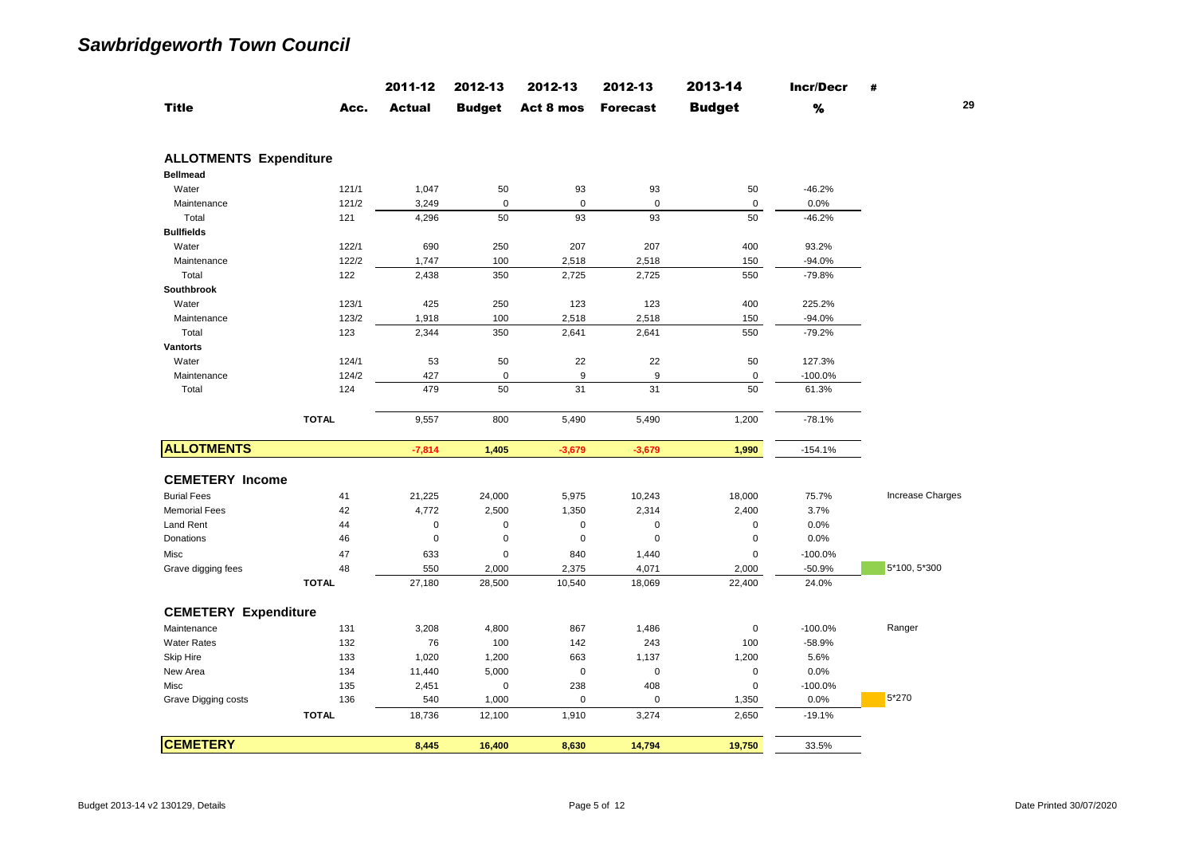| <b>Budget</b><br>%<br>Act 8 mos<br>Acc.<br><b>Actual</b><br><b>Budget</b><br><b>Forecast</b><br>Water<br>121/1<br>1,047<br>50<br>93<br>93<br>50<br>$-46.2%$<br>121/2<br>$\mathbf 0$<br>$\mathbf 0$<br>$\mathbf 0$<br>0.0%<br>Maintenance<br>3,249<br>0<br>93<br>50<br>Total<br>50<br>93<br>$-46.2%$<br>121<br>4,296<br>122/1<br>690<br>250<br>207<br>207<br>400<br>93.2%<br>Water<br>122/2<br>100<br>Maintenance<br>1,747<br>2,518<br>2,518<br>150<br>$-94.0%$<br>$-79.8%$<br>Total<br>122<br>2,438<br>350<br>2,725<br>2,725<br>550<br>123/1<br>425<br>250<br>123<br>400<br>225.2%<br>Water<br>123<br>123/2<br>100<br>$-94.0%$<br>Maintenance<br>1,918<br>2,518<br>2,518<br>150<br>Total<br>123<br>2,344<br>350<br>2,641<br>550<br>$-79.2%$<br>2,641<br>124/1<br>Water<br>53<br>50<br>22<br>22<br>50<br>127.3%<br>124/2<br>427<br>$\mathbf 0$<br>9<br>9<br>$\mathbf 0$<br>Maintenance<br>$-100.0%$<br>50<br>31<br>31<br>50<br>Total<br>124<br>479<br>61.3%<br><b>TOTAL</b><br>9,557<br>800<br>5,490<br>5,490<br>1,200<br>$-78.1%$<br>$-7,814$<br>1,405<br>$-3,679$<br>$-3,679$<br>1,990<br>$-154.1%$<br>21,225<br>41<br>24,000<br>5,975<br>10,243<br>18,000<br>75.7%<br>42<br>4,772<br>2,500<br>1,350<br>2,314<br>2,400<br>3.7%<br>0.0%<br>44<br>$\mathbf 0$<br>0<br>$\mathbf 0$<br>$\mathbf 0$<br>$\mathbf 0$<br>$\mathsf 0$<br>$\mathbf 0$<br>$\mathbf 0$<br>$\mathbf 0$<br>$\mathbf 0$<br>0.0%<br>46<br>47<br>633<br>$\mathbf 0$<br>840<br>1,440<br>$\pmb{0}$<br>$-100.0%$<br>48<br>550<br>2,000<br>2,375<br>4,071<br>2,000<br>$-50.9%$<br><b>TOTAL</b><br>27,180<br>10,540<br>22,400<br>28,500<br>18,069<br>24.0%<br>3,208<br>867<br>$-100.0%$<br>131<br>4,800<br>1,486<br>$\mathbf 0$<br>Ranger<br>76<br>100<br>132<br>142<br>243<br>100<br>$-58.9%$<br>133<br>1,020<br>1,200<br>663<br>1,137<br>1,200<br>5.6%<br>134<br>5,000<br>$\mathbf 0$<br>$\pmb{0}$<br>$\mathbf 0$<br>0.0%<br>11,440<br>135<br>238<br>408<br>$\mathbf 0$<br>$-100.0%$<br>2,451<br>$\mathbf 0$<br>5*270<br>136<br>540<br>1,000<br>$\mathbf 0$<br>$\mathbf 0$<br>1,350<br>0.0%<br><b>TOTAL</b><br>1,910<br>2,650<br>$-19.1%$<br>18,736<br>12,100<br>3,274 |              | 2011-12 | 2012-13 | 2012-13 | 2012-13 | 2013-14 | <b>Incr/Decr</b> | #                |
|-------------------------------------------------------------------------------------------------------------------------------------------------------------------------------------------------------------------------------------------------------------------------------------------------------------------------------------------------------------------------------------------------------------------------------------------------------------------------------------------------------------------------------------------------------------------------------------------------------------------------------------------------------------------------------------------------------------------------------------------------------------------------------------------------------------------------------------------------------------------------------------------------------------------------------------------------------------------------------------------------------------------------------------------------------------------------------------------------------------------------------------------------------------------------------------------------------------------------------------------------------------------------------------------------------------------------------------------------------------------------------------------------------------------------------------------------------------------------------------------------------------------------------------------------------------------------------------------------------------------------------------------------------------------------------------------------------------------------------------------------------------------------------------------------------------------------------------------------------------------------------------------------------------------------------------------------------------------------------------------------------------------------------------------------------------------------------------------------------------------------------------|--------------|---------|---------|---------|---------|---------|------------------|------------------|
| <b>ALLOTMENTS Expenditure</b><br><b>Bellmead</b><br><b>Bullfields</b><br>Southbrook<br><b>Vantorts</b><br><b>ALLOTMENTS</b><br><b>CEMETERY Income</b><br><b>Burial Fees</b><br><b>Memorial Fees</b><br><b>Land Rent</b><br><b>Donations</b><br>Misc<br>Grave digging fees<br><b>CEMETERY Expenditure</b><br>Maintenance<br><b>Water Rates</b><br>Skip Hire<br>New Area<br>Misc<br>Grave Digging costs                                                                                                                                                                                                                                                                                                                                                                                                                                                                                                                                                                                                                                                                                                                                                                                                                                                                                                                                                                                                                                                                                                                                                                                                                                                                                                                                                                                                                                                                                                                                                                                                                                                                                                                               | <b>Title</b> |         |         |         |         |         |                  | 29               |
|                                                                                                                                                                                                                                                                                                                                                                                                                                                                                                                                                                                                                                                                                                                                                                                                                                                                                                                                                                                                                                                                                                                                                                                                                                                                                                                                                                                                                                                                                                                                                                                                                                                                                                                                                                                                                                                                                                                                                                                                                                                                                                                                     |              |         |         |         |         |         |                  |                  |
|                                                                                                                                                                                                                                                                                                                                                                                                                                                                                                                                                                                                                                                                                                                                                                                                                                                                                                                                                                                                                                                                                                                                                                                                                                                                                                                                                                                                                                                                                                                                                                                                                                                                                                                                                                                                                                                                                                                                                                                                                                                                                                                                     |              |         |         |         |         |         |                  |                  |
|                                                                                                                                                                                                                                                                                                                                                                                                                                                                                                                                                                                                                                                                                                                                                                                                                                                                                                                                                                                                                                                                                                                                                                                                                                                                                                                                                                                                                                                                                                                                                                                                                                                                                                                                                                                                                                                                                                                                                                                                                                                                                                                                     |              |         |         |         |         |         |                  |                  |
|                                                                                                                                                                                                                                                                                                                                                                                                                                                                                                                                                                                                                                                                                                                                                                                                                                                                                                                                                                                                                                                                                                                                                                                                                                                                                                                                                                                                                                                                                                                                                                                                                                                                                                                                                                                                                                                                                                                                                                                                                                                                                                                                     |              |         |         |         |         |         |                  |                  |
|                                                                                                                                                                                                                                                                                                                                                                                                                                                                                                                                                                                                                                                                                                                                                                                                                                                                                                                                                                                                                                                                                                                                                                                                                                                                                                                                                                                                                                                                                                                                                                                                                                                                                                                                                                                                                                                                                                                                                                                                                                                                                                                                     |              |         |         |         |         |         |                  |                  |
|                                                                                                                                                                                                                                                                                                                                                                                                                                                                                                                                                                                                                                                                                                                                                                                                                                                                                                                                                                                                                                                                                                                                                                                                                                                                                                                                                                                                                                                                                                                                                                                                                                                                                                                                                                                                                                                                                                                                                                                                                                                                                                                                     |              |         |         |         |         |         |                  |                  |
|                                                                                                                                                                                                                                                                                                                                                                                                                                                                                                                                                                                                                                                                                                                                                                                                                                                                                                                                                                                                                                                                                                                                                                                                                                                                                                                                                                                                                                                                                                                                                                                                                                                                                                                                                                                                                                                                                                                                                                                                                                                                                                                                     |              |         |         |         |         |         |                  |                  |
|                                                                                                                                                                                                                                                                                                                                                                                                                                                                                                                                                                                                                                                                                                                                                                                                                                                                                                                                                                                                                                                                                                                                                                                                                                                                                                                                                                                                                                                                                                                                                                                                                                                                                                                                                                                                                                                                                                                                                                                                                                                                                                                                     |              |         |         |         |         |         |                  |                  |
|                                                                                                                                                                                                                                                                                                                                                                                                                                                                                                                                                                                                                                                                                                                                                                                                                                                                                                                                                                                                                                                                                                                                                                                                                                                                                                                                                                                                                                                                                                                                                                                                                                                                                                                                                                                                                                                                                                                                                                                                                                                                                                                                     |              |         |         |         |         |         |                  |                  |
|                                                                                                                                                                                                                                                                                                                                                                                                                                                                                                                                                                                                                                                                                                                                                                                                                                                                                                                                                                                                                                                                                                                                                                                                                                                                                                                                                                                                                                                                                                                                                                                                                                                                                                                                                                                                                                                                                                                                                                                                                                                                                                                                     |              |         |         |         |         |         |                  |                  |
|                                                                                                                                                                                                                                                                                                                                                                                                                                                                                                                                                                                                                                                                                                                                                                                                                                                                                                                                                                                                                                                                                                                                                                                                                                                                                                                                                                                                                                                                                                                                                                                                                                                                                                                                                                                                                                                                                                                                                                                                                                                                                                                                     |              |         |         |         |         |         |                  |                  |
|                                                                                                                                                                                                                                                                                                                                                                                                                                                                                                                                                                                                                                                                                                                                                                                                                                                                                                                                                                                                                                                                                                                                                                                                                                                                                                                                                                                                                                                                                                                                                                                                                                                                                                                                                                                                                                                                                                                                                                                                                                                                                                                                     |              |         |         |         |         |         |                  |                  |
|                                                                                                                                                                                                                                                                                                                                                                                                                                                                                                                                                                                                                                                                                                                                                                                                                                                                                                                                                                                                                                                                                                                                                                                                                                                                                                                                                                                                                                                                                                                                                                                                                                                                                                                                                                                                                                                                                                                                                                                                                                                                                                                                     |              |         |         |         |         |         |                  |                  |
|                                                                                                                                                                                                                                                                                                                                                                                                                                                                                                                                                                                                                                                                                                                                                                                                                                                                                                                                                                                                                                                                                                                                                                                                                                                                                                                                                                                                                                                                                                                                                                                                                                                                                                                                                                                                                                                                                                                                                                                                                                                                                                                                     |              |         |         |         |         |         |                  |                  |
|                                                                                                                                                                                                                                                                                                                                                                                                                                                                                                                                                                                                                                                                                                                                                                                                                                                                                                                                                                                                                                                                                                                                                                                                                                                                                                                                                                                                                                                                                                                                                                                                                                                                                                                                                                                                                                                                                                                                                                                                                                                                                                                                     |              |         |         |         |         |         |                  |                  |
|                                                                                                                                                                                                                                                                                                                                                                                                                                                                                                                                                                                                                                                                                                                                                                                                                                                                                                                                                                                                                                                                                                                                                                                                                                                                                                                                                                                                                                                                                                                                                                                                                                                                                                                                                                                                                                                                                                                                                                                                                                                                                                                                     |              |         |         |         |         |         |                  |                  |
|                                                                                                                                                                                                                                                                                                                                                                                                                                                                                                                                                                                                                                                                                                                                                                                                                                                                                                                                                                                                                                                                                                                                                                                                                                                                                                                                                                                                                                                                                                                                                                                                                                                                                                                                                                                                                                                                                                                                                                                                                                                                                                                                     |              |         |         |         |         |         |                  |                  |
|                                                                                                                                                                                                                                                                                                                                                                                                                                                                                                                                                                                                                                                                                                                                                                                                                                                                                                                                                                                                                                                                                                                                                                                                                                                                                                                                                                                                                                                                                                                                                                                                                                                                                                                                                                                                                                                                                                                                                                                                                                                                                                                                     |              |         |         |         |         |         |                  |                  |
|                                                                                                                                                                                                                                                                                                                                                                                                                                                                                                                                                                                                                                                                                                                                                                                                                                                                                                                                                                                                                                                                                                                                                                                                                                                                                                                                                                                                                                                                                                                                                                                                                                                                                                                                                                                                                                                                                                                                                                                                                                                                                                                                     |              |         |         |         |         |         |                  |                  |
|                                                                                                                                                                                                                                                                                                                                                                                                                                                                                                                                                                                                                                                                                                                                                                                                                                                                                                                                                                                                                                                                                                                                                                                                                                                                                                                                                                                                                                                                                                                                                                                                                                                                                                                                                                                                                                                                                                                                                                                                                                                                                                                                     |              |         |         |         |         |         |                  |                  |
|                                                                                                                                                                                                                                                                                                                                                                                                                                                                                                                                                                                                                                                                                                                                                                                                                                                                                                                                                                                                                                                                                                                                                                                                                                                                                                                                                                                                                                                                                                                                                                                                                                                                                                                                                                                                                                                                                                                                                                                                                                                                                                                                     |              |         |         |         |         |         |                  | Increase Charges |
|                                                                                                                                                                                                                                                                                                                                                                                                                                                                                                                                                                                                                                                                                                                                                                                                                                                                                                                                                                                                                                                                                                                                                                                                                                                                                                                                                                                                                                                                                                                                                                                                                                                                                                                                                                                                                                                                                                                                                                                                                                                                                                                                     |              |         |         |         |         |         |                  |                  |
|                                                                                                                                                                                                                                                                                                                                                                                                                                                                                                                                                                                                                                                                                                                                                                                                                                                                                                                                                                                                                                                                                                                                                                                                                                                                                                                                                                                                                                                                                                                                                                                                                                                                                                                                                                                                                                                                                                                                                                                                                                                                                                                                     |              |         |         |         |         |         |                  |                  |
|                                                                                                                                                                                                                                                                                                                                                                                                                                                                                                                                                                                                                                                                                                                                                                                                                                                                                                                                                                                                                                                                                                                                                                                                                                                                                                                                                                                                                                                                                                                                                                                                                                                                                                                                                                                                                                                                                                                                                                                                                                                                                                                                     |              |         |         |         |         |         |                  |                  |
|                                                                                                                                                                                                                                                                                                                                                                                                                                                                                                                                                                                                                                                                                                                                                                                                                                                                                                                                                                                                                                                                                                                                                                                                                                                                                                                                                                                                                                                                                                                                                                                                                                                                                                                                                                                                                                                                                                                                                                                                                                                                                                                                     |              |         |         |         |         |         |                  |                  |
|                                                                                                                                                                                                                                                                                                                                                                                                                                                                                                                                                                                                                                                                                                                                                                                                                                                                                                                                                                                                                                                                                                                                                                                                                                                                                                                                                                                                                                                                                                                                                                                                                                                                                                                                                                                                                                                                                                                                                                                                                                                                                                                                     |              |         |         |         |         |         |                  | 5*100, 5*300     |
|                                                                                                                                                                                                                                                                                                                                                                                                                                                                                                                                                                                                                                                                                                                                                                                                                                                                                                                                                                                                                                                                                                                                                                                                                                                                                                                                                                                                                                                                                                                                                                                                                                                                                                                                                                                                                                                                                                                                                                                                                                                                                                                                     |              |         |         |         |         |         |                  |                  |
|                                                                                                                                                                                                                                                                                                                                                                                                                                                                                                                                                                                                                                                                                                                                                                                                                                                                                                                                                                                                                                                                                                                                                                                                                                                                                                                                                                                                                                                                                                                                                                                                                                                                                                                                                                                                                                                                                                                                                                                                                                                                                                                                     |              |         |         |         |         |         |                  |                  |
|                                                                                                                                                                                                                                                                                                                                                                                                                                                                                                                                                                                                                                                                                                                                                                                                                                                                                                                                                                                                                                                                                                                                                                                                                                                                                                                                                                                                                                                                                                                                                                                                                                                                                                                                                                                                                                                                                                                                                                                                                                                                                                                                     |              |         |         |         |         |         |                  |                  |
|                                                                                                                                                                                                                                                                                                                                                                                                                                                                                                                                                                                                                                                                                                                                                                                                                                                                                                                                                                                                                                                                                                                                                                                                                                                                                                                                                                                                                                                                                                                                                                                                                                                                                                                                                                                                                                                                                                                                                                                                                                                                                                                                     |              |         |         |         |         |         |                  |                  |
|                                                                                                                                                                                                                                                                                                                                                                                                                                                                                                                                                                                                                                                                                                                                                                                                                                                                                                                                                                                                                                                                                                                                                                                                                                                                                                                                                                                                                                                                                                                                                                                                                                                                                                                                                                                                                                                                                                                                                                                                                                                                                                                                     |              |         |         |         |         |         |                  |                  |
|                                                                                                                                                                                                                                                                                                                                                                                                                                                                                                                                                                                                                                                                                                                                                                                                                                                                                                                                                                                                                                                                                                                                                                                                                                                                                                                                                                                                                                                                                                                                                                                                                                                                                                                                                                                                                                                                                                                                                                                                                                                                                                                                     |              |         |         |         |         |         |                  |                  |
|                                                                                                                                                                                                                                                                                                                                                                                                                                                                                                                                                                                                                                                                                                                                                                                                                                                                                                                                                                                                                                                                                                                                                                                                                                                                                                                                                                                                                                                                                                                                                                                                                                                                                                                                                                                                                                                                                                                                                                                                                                                                                                                                     |              |         |         |         |         |         |                  |                  |
|                                                                                                                                                                                                                                                                                                                                                                                                                                                                                                                                                                                                                                                                                                                                                                                                                                                                                                                                                                                                                                                                                                                                                                                                                                                                                                                                                                                                                                                                                                                                                                                                                                                                                                                                                                                                                                                                                                                                                                                                                                                                                                                                     |              |         |         |         |         |         |                  |                  |
|                                                                                                                                                                                                                                                                                                                                                                                                                                                                                                                                                                                                                                                                                                                                                                                                                                                                                                                                                                                                                                                                                                                                                                                                                                                                                                                                                                                                                                                                                                                                                                                                                                                                                                                                                                                                                                                                                                                                                                                                                                                                                                                                     |              |         |         |         |         |         |                  |                  |
| <b>CEMETERY</b><br>8,445<br>16,400<br>14,794<br>19,750<br>8,630<br>33.5%                                                                                                                                                                                                                                                                                                                                                                                                                                                                                                                                                                                                                                                                                                                                                                                                                                                                                                                                                                                                                                                                                                                                                                                                                                                                                                                                                                                                                                                                                                                                                                                                                                                                                                                                                                                                                                                                                                                                                                                                                                                            |              |         |         |         |         |         |                  |                  |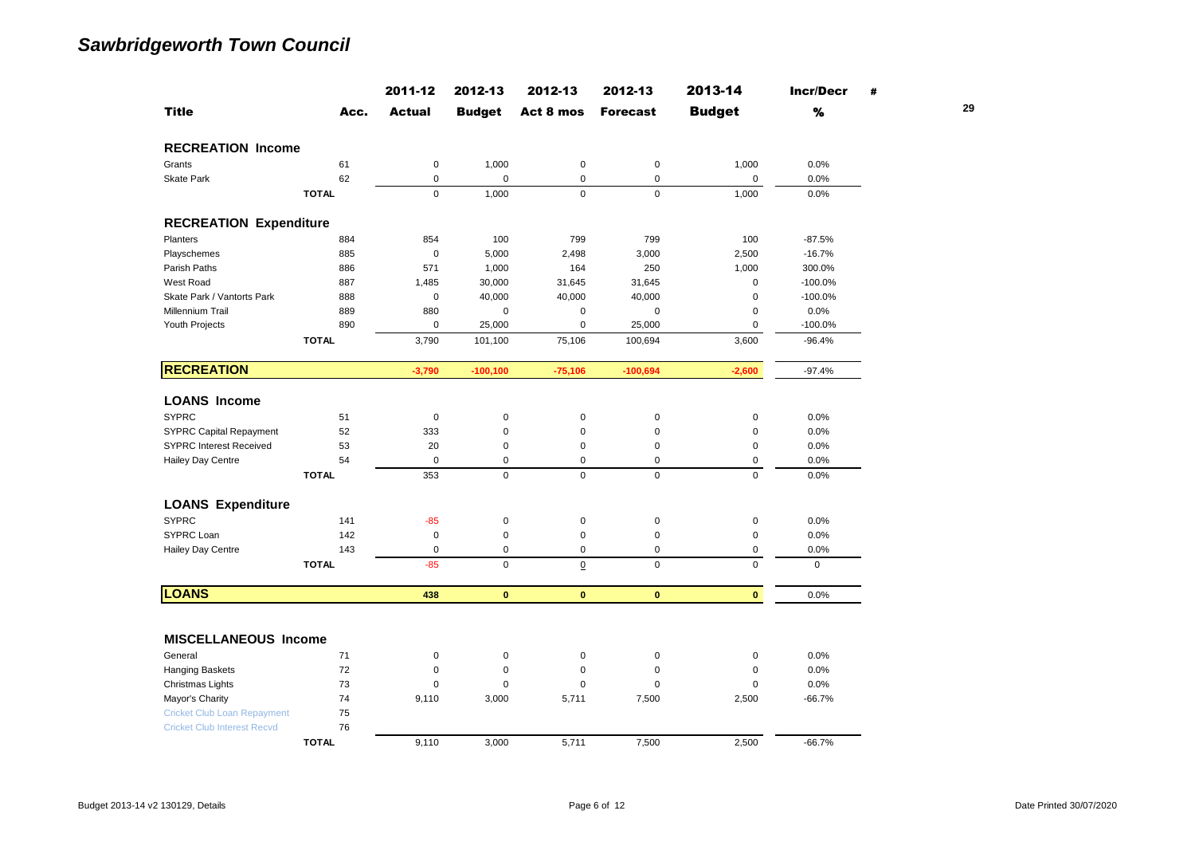|                                    |              | 2011-12       | 2012-13       | 2012-13         | 2012-13         | 2013-14       | <b>Incr/Decr</b> | # |    |
|------------------------------------|--------------|---------------|---------------|-----------------|-----------------|---------------|------------------|---|----|
| <b>Title</b>                       | Acc.         | <b>Actual</b> | <b>Budget</b> | Act 8 mos       | <b>Forecast</b> | <b>Budget</b> | %                |   | 29 |
| <b>RECREATION Income</b>           |              |               |               |                 |                 |               |                  |   |    |
| Grants                             | 61           | $\pmb{0}$     | 1,000         | $\pmb{0}$       | $\pmb{0}$       | 1,000         | 0.0%             |   |    |
| <b>Skate Park</b>                  | 62           | $\pmb{0}$     | $\mathsf 0$   | $\mathsf 0$     | $\mathbf 0$     | $\mathbf 0$   | 0.0%             |   |    |
|                                    | <b>TOTAL</b> | $\mathbf 0$   | 1,000         | $\mathsf 0$     | $\mathbf 0$     | 1,000         | 0.0%             |   |    |
| <b>RECREATION Expenditure</b>      |              |               |               |                 |                 |               |                  |   |    |
| Planters                           | 884          | 854           | 100           | 799             | 799             | 100           | $-87.5%$         |   |    |
| Playschemes                        | 885          | $\pmb{0}$     | 5,000         | 2,498           | 3,000           | 2,500         | $-16.7%$         |   |    |
| Parish Paths                       | 886          | 571           | 1,000         | 164             | 250             | 1,000         | 300.0%           |   |    |
| West Road                          | 887          | 1,485         | 30,000        | 31,645          | 31,645          | $\mathbf 0$   | $-100.0%$        |   |    |
| Skate Park / Vantorts Park         | 888          | $\pmb{0}$     | 40,000        | 40,000          | 40,000          | $\pmb{0}$     | $-100.0%$        |   |    |
| Millennium Trail                   | 889          | 880           | $\mathsf 0$   | 0               | $\pmb{0}$       | $\mathbf 0$   | 0.0%             |   |    |
| Youth Projects                     | 890          | $\pmb{0}$     | 25,000        | $\mathsf 0$     | 25,000          | $\pmb{0}$     | $-100.0%$        |   |    |
|                                    | <b>TOTAL</b> | 3,790         | 101,100       | 75,106          | 100,694         | 3,600         | $-96.4%$         |   |    |
| <b>RECREATION</b>                  |              | $-3,790$      | $-100, 100$   | $-75,106$       | $-100,694$      | $-2,600$      | $-97.4%$         |   |    |
| <b>LOANS Income</b>                |              |               |               |                 |                 |               |                  |   |    |
| <b>SYPRC</b>                       | 51           | $\pmb{0}$     | $\mathbf 0$   | $\pmb{0}$       | $\pmb{0}$       | $\mathbf 0$   | 0.0%             |   |    |
| SYPRC Capital Repayment            | 52           | 333           | $\mathsf 0$   | $\mathbf 0$     | $\pmb{0}$       | $\mathbf 0$   | 0.0%             |   |    |
| <b>SYPRC Interest Received</b>     | 53           | 20            | 0             | $\mathbf 0$     | $\mathbf 0$     | $\pmb{0}$     | 0.0%             |   |    |
| Hailey Day Centre                  | 54           | $\pmb{0}$     | 0             | $\mathbf 0$     | $\pmb{0}$       | $\mathsf 0$   | 0.0%             |   |    |
|                                    | <b>TOTAL</b> | 353           | $\mathsf 0$   | $\mathsf 0$     | $\pmb{0}$       | $\mathsf 0$   | 0.0%             |   |    |
| <b>LOANS Expenditure</b>           |              |               |               |                 |                 |               |                  |   |    |
| <b>SYPRC</b>                       | 141          | $-85$         | $\pmb{0}$     | $\pmb{0}$       | $\pmb{0}$       | $\pmb{0}$     | 0.0%             |   |    |
| SYPRC Loan                         | 142          | $\pmb{0}$     | $\mathsf 0$   | $\mathbf 0$     | $\pmb{0}$       | $\pmb{0}$     | 0.0%             |   |    |
| Hailey Day Centre                  | 143          | $\mathbf 0$   | 0             | $\mathsf 0$     | $\mathbf 0$     | $\mathsf 0$   | 0.0%             |   |    |
|                                    | <b>TOTAL</b> | $-85$         | $\mathsf 0$   | $\underline{0}$ | $\mathsf 0$     | $\mathsf 0$   | $\mathsf 0$      |   |    |
| <b>LOANS</b>                       |              | 438           | $\mathbf{0}$  | $\mathbf{0}$    | $\mathbf{0}$    | $\mathbf{0}$  | 0.0%             |   |    |
|                                    |              |               |               |                 |                 |               |                  |   |    |
| <b>MISCELLANEOUS Income</b>        |              |               |               |                 |                 |               |                  |   |    |
| General                            | 71           | $\pmb{0}$     | $\pmb{0}$     | $\pmb{0}$       | $\pmb{0}$       | $\pmb{0}$     | 0.0%             |   |    |
| <b>Hanging Baskets</b>             | 72           | $\pmb{0}$     | $\pmb{0}$     | $\mathbf 0$     | $\mathbf 0$     | $\mathbf 0$   | 0.0%             |   |    |
| Christmas Lights                   | 73           | $\mathbf 0$   | $\pmb{0}$     | $\mathbf 0$     | $\mathbf 0$     | $\mathbf 0$   | 0.0%             |   |    |
| Mayor's Charity                    | 74           | 9,110         | 3,000         | 5,711           | 7,500           | 2,500         | $-66.7%$         |   |    |
| <b>Cricket Club Loan Repayment</b> | 75           |               |               |                 |                 |               |                  |   |    |
| <b>Cricket Club Interest Recvd</b> | 76           |               |               |                 |                 |               |                  |   |    |
|                                    | <b>TOTAL</b> | 9,110         | 3,000         | 5,711           | 7,500           | 2,500         | $-66.7%$         |   |    |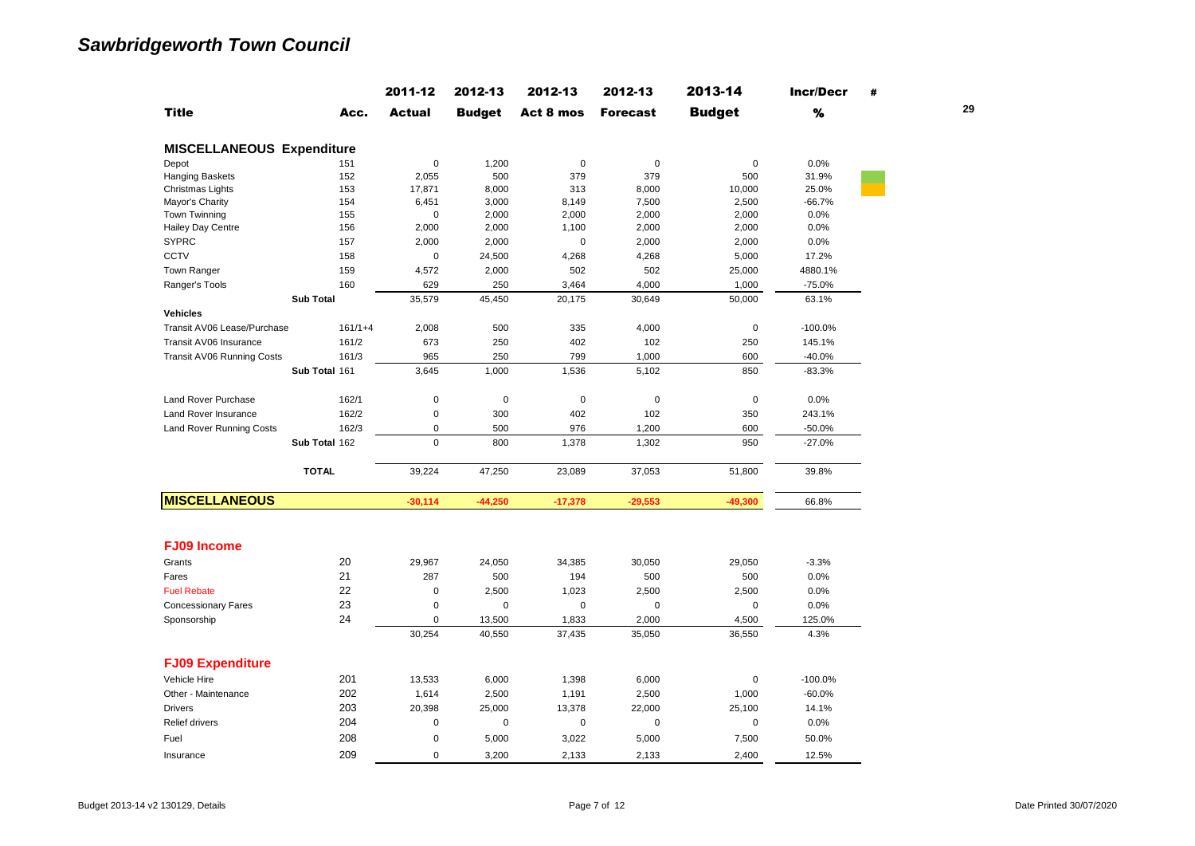|                                  |                  | 2011-12       | 2012-13       | 2012-13     | 2012-13         | 2013-14       | <b>Incr/Decr</b> | # |    |
|----------------------------------|------------------|---------------|---------------|-------------|-----------------|---------------|------------------|---|----|
| <b>Title</b>                     | Acc.             | <b>Actual</b> | <b>Budget</b> | Act 8 mos   | <b>Forecast</b> | <b>Budget</b> | $\%$             |   | 29 |
| <b>MISCELLANEOUS Expenditure</b> |                  |               |               |             |                 |               |                  |   |    |
| Depot                            | 151              | $\mathbf 0$   | 1,200         | $\pmb{0}$   | $\mathbf 0$     | $\mathbf 0$   | 0.0%             |   |    |
| <b>Hanging Baskets</b>           | 152              | 2,055         | 500           | 379         | 379             | 500           | 31.9%            |   |    |
| Christmas Lights                 | 153              | 17,871        | 8,000         | 313         | 8,000           | 10,000        | 25.0%            |   |    |
| Mayor's Charity                  | 154              | 6,451         | 3,000         | 8,149       | 7,500           | 2,500         | $-66.7%$         |   |    |
| Town Twinning                    | 155              | $\mathbf 0$   | 2,000         | 2,000       | 2,000           | 2,000         | 0.0%             |   |    |
| Hailey Day Centre                | 156              | 2,000         | 2,000         | 1,100       | 2,000           | 2,000         | 0.0%             |   |    |
| <b>SYPRC</b>                     | 157              | 2,000         | 2,000         | $\mathbf 0$ | 2,000           | 2,000         | 0.0%             |   |    |
| CCTV                             | 158              | $\mathbf 0$   | 24,500        | 4,268       | 4,268           | 5,000         | 17.2%            |   |    |
| Town Ranger                      | 159              | 4,572         | 2,000         | 502         | 502             | 25,000        | 4880.1%          |   |    |
| Ranger's Tools                   | 160              | 629           | 250           | 3,464       | 4,000           | 1,000         | $-75.0%$         |   |    |
|                                  | <b>Sub Total</b> | 35,579        | 45,450        | 20,175      | 30,649          | 50,000        | 63.1%            |   |    |
| <b>Vehicles</b>                  |                  |               |               |             |                 |               |                  |   |    |
| Transit AV06 Lease/Purchase      | $161/1+4$        | 2,008         | 500           | 335         | 4,000           | $\mathsf 0$   | $-100.0%$        |   |    |
| Transit AV06 Insurance           | 161/2            | 673           | 250           | 402         | 102             | 250           | 145.1%           |   |    |
| Transit AV06 Running Costs       | 161/3            | 965           | 250           | 799         | 1,000           | 600           | $-40.0%$         |   |    |
|                                  | Sub Total 161    | 3,645         | 1,000         | 1,536       | 5,102           | 850           | $-83.3%$         |   |    |
| Land Rover Purchase              | 162/1            | $\pmb{0}$     | $\mathsf 0$   | $\pmb{0}$   | $\pmb{0}$       | $\mathsf 0$   | 0.0%             |   |    |
| <b>Land Rover Insurance</b>      | 162/2            | $\mathsf 0$   | 300           | 402         | 102             | 350           | 243.1%           |   |    |
| Land Rover Running Costs         | 162/3            | $\mathsf 0$   | 500           | 976         | 1,200           | 600           | $-50.0%$         |   |    |
|                                  | Sub Total 162    | $\Omega$      | 800           | 1,378       | 1,302           | 950           | $-27.0%$         |   |    |
|                                  | <b>TOTAL</b>     | 39,224        | 47,250        | 23,089      | 37,053          | 51,800        | 39.8%            |   |    |
| <b>MISCELLANEOUS</b>             |                  | $-30,114$     | $-44,250$     | $-17,378$   | $-29,553$       | $-49,300$     | 66.8%            |   |    |
|                                  |                  |               |               |             |                 |               |                  |   |    |
| <b>FJ09 Income</b>               |                  |               |               |             |                 |               |                  |   |    |
| Grants                           | 20               | 29,967        | 24,050        | 34,385      | 30,050          | 29,050        | $-3.3%$          |   |    |
| Fares                            | 21               | 287           | 500           | 194         | 500             | 500           | 0.0%             |   |    |
| <b>Fuel Rebate</b>               | 22               | $\mathbf 0$   | 2,500         | 1,023       | 2,500           | 2,500         | 0.0%             |   |    |
| <b>Concessionary Fares</b>       | 23               | $\mathbf 0$   | $\mathsf 0$   | $\mathsf 0$ | $\pmb{0}$       | 0             | 0.0%             |   |    |
| Sponsorship                      | 24               | 0             | 13,500        | 1,833       | 2,000           | 4,500         | 125.0%           |   |    |
|                                  |                  | 30,254        | 40,550        | 37,435      | 35,050          | 36,550        | 4.3%             |   |    |
| <b>FJ09 Expenditure</b>          |                  |               |               |             |                 |               |                  |   |    |
| Vehicle Hire                     | 201              | 13,533        | 6,000         | 1,398       | 6,000           | 0             | $-100.0%$        |   |    |
| Other - Maintenance              | 202              | 1,614         | 2,500         | 1,191       | 2,500           | 1,000         | $-60.0%$         |   |    |
| <b>Drivers</b>                   | 203              | 20,398        | 25,000        | 13,378      | 22,000          | 25,100        | 14.1%            |   |    |
| Relief drivers                   | 204              | $\mathsf 0$   | 0             | $\mathsf 0$ | $\pmb{0}$       | 0             | 0.0%             |   |    |
| Fuel                             | 208              | $\mathbf 0$   | 5,000         | 3,022       | 5,000           | 7,500         | 50.0%            |   |    |
|                                  |                  |               |               |             |                 |               |                  |   |    |
| Insurance                        | 209              | $\mathbf 0$   | 3.200         | 2.133       | 2.133           | 2.400         | 12.5%            |   |    |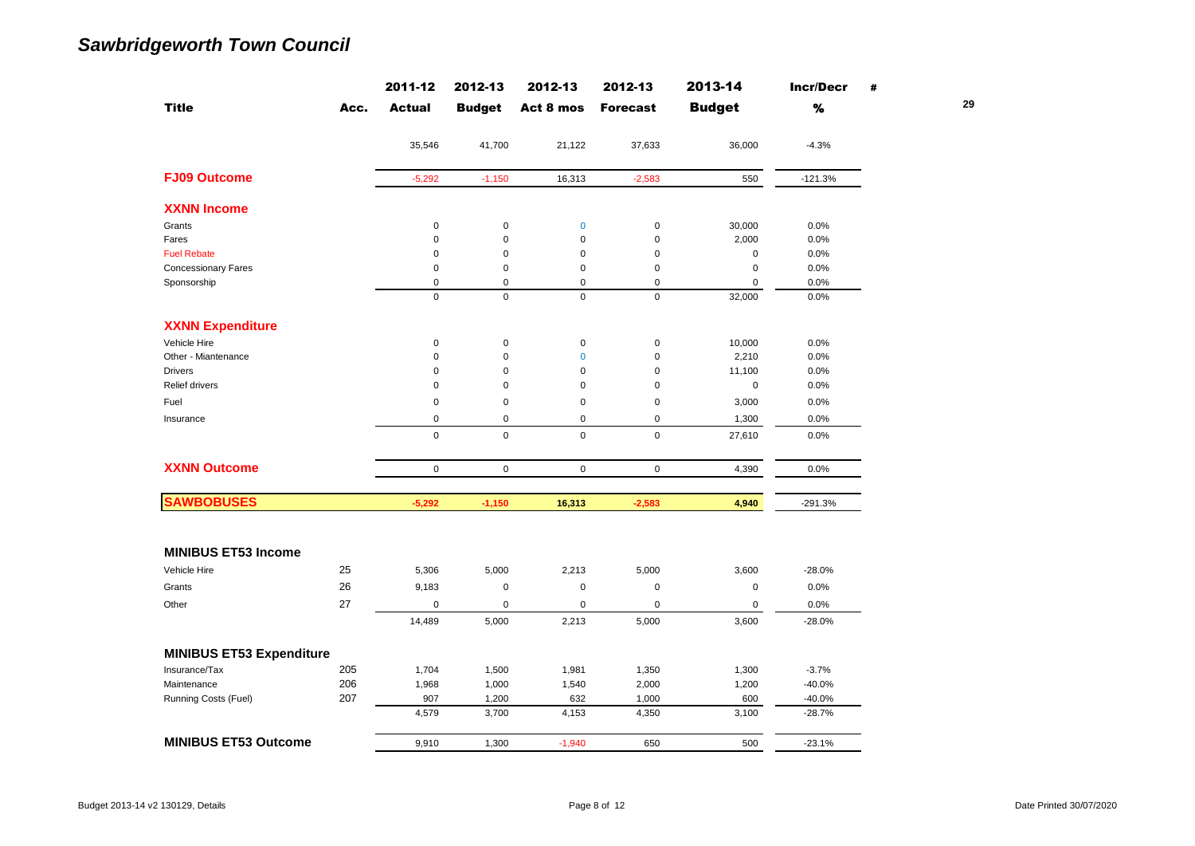|                                 |      | 2011-12       | 2012-13       | 2012-13        | 2012-13         | 2013-14       | <b>Incr/Decr</b> | #  |
|---------------------------------|------|---------------|---------------|----------------|-----------------|---------------|------------------|----|
| <b>Title</b>                    | Acc. | <b>Actual</b> | <b>Budget</b> | Act 8 mos      | <b>Forecast</b> | <b>Budget</b> | %                | 29 |
|                                 |      | 35,546        | 41,700        | 21,122         | 37,633          | 36,000        | $-4.3%$          |    |
| <b>FJ09 Outcome</b>             |      | $-5,292$      | $-1,150$      | 16,313         | $-2,583$        | 550           | $-121.3%$        |    |
| <b>XXNN Income</b>              |      |               |               |                |                 |               |                  |    |
| Grants                          |      | $\mathsf 0$   | $\pmb{0}$     | $\bf{0}$       | $\pmb{0}$       | 30,000        | 0.0%             |    |
| Fares                           |      | $\mathsf 0$   | $\mathbf 0$   | $\mathbf 0$    | $\mathbf 0$     | 2,000         | 0.0%             |    |
| <b>Fuel Rebate</b>              |      | $\mathsf 0$   | 0             | 0              | $\mathbf 0$     | $\mathbf 0$   | 0.0%             |    |
| <b>Concessionary Fares</b>      |      | 0             | 0             | 0              | $\mathbf 0$     | $\pmb{0}$     | 0.0%             |    |
| Sponsorship                     |      | $\mathsf 0$   | $\pmb{0}$     | $\mathbf 0$    | $\mathbf 0$     | $\mathbf 0$   | 0.0%             |    |
|                                 |      | $\mathsf 0$   | $\mathsf 0$   | $\mathbf 0$    | $\pmb{0}$       | 32,000        | 0.0%             |    |
| <b>XXNN Expenditure</b>         |      |               |               |                |                 |               |                  |    |
| Vehicle Hire                    |      | $\mathsf 0$   | $\pmb{0}$     | $\pmb{0}$      | $\pmb{0}$       | 10,000        | 0.0%             |    |
| Other - Miantenance             |      | $\pmb{0}$     | $\mathbf 0$   | $\overline{0}$ | $\mathbf 0$     | 2,210         | 0.0%             |    |
| <b>Drivers</b>                  |      | $\mathbf 0$   | $\pmb{0}$     | $\mathbf 0$    | $\mathbf 0$     | 11,100        | 0.0%             |    |
| Relief drivers                  |      | $\mathsf 0$   | 0             | 0              | $\mathbf 0$     | $\mathbf 0$   | 0.0%             |    |
| Fuel                            |      | $\mathsf 0$   | 0             | 0              | $\mathbf 0$     | 3,000         | 0.0%             |    |
| Insurance                       |      | $\mathsf 0$   | $\pmb{0}$     | $\mathbf 0$    | $\mathbf 0$     | 1,300         | 0.0%             |    |
|                                 |      | $\mathsf 0$   | $\mathbf 0$   | $\mathbf 0$    | $\mathbf 0$     | 27,610        | 0.0%             |    |
| <b>XXNN Outcome</b>             |      | $\mathsf 0$   | $\mathsf 0$   | $\mathsf 0$    | $\mathbf 0$     | 4,390         | 0.0%             |    |
| <b>SAWBOBUSES</b>               |      | $-5,292$      | $-1,150$      | 16,313         | $-2,583$        | 4,940         | -291.3%          |    |
|                                 |      |               |               |                |                 |               |                  |    |
| <b>MINIBUS ET53 Income</b>      |      |               |               |                |                 |               |                  |    |
| Vehicle Hire                    | 25   | 5,306         | 5,000         | 2,213          | 5,000           | 3,600         | $-28.0%$         |    |
| Grants                          | 26   | 9,183         | 0             | $\pmb{0}$      | $\mathbf 0$     | $\pmb{0}$     | 0.0%             |    |
| Other                           | 27   | $\mathsf 0$   | $\pmb{0}$     | $\pmb{0}$      | $\pmb{0}$       | $\pmb{0}$     | 0.0%             |    |
|                                 |      | 14,489        | 5,000         | 2,213          | 5,000           | 3,600         | $-28.0%$         |    |
|                                 |      |               |               |                |                 |               |                  |    |
| <b>MINIBUS ET53 Expenditure</b> |      |               |               |                |                 |               |                  |    |
| Insurance/Tax                   | 205  | 1,704         | 1,500         | 1,981          | 1,350           | 1,300         | $-3.7%$          |    |
| Maintenance                     | 206  | 1,968         | 1,000         | 1,540          | 2,000           | 1,200         | $-40.0%$         |    |
| Running Costs (Fuel)            | 207  | 907           | 1,200         | 632            | 1,000           | 600           | $-40.0%$         |    |
|                                 |      | 4,579         | 3,700         | 4,153          | 4,350           | 3,100         | $-28.7%$         |    |
| <b>MINIBUS ET53 Outcome</b>     |      | 9,910         | 1,300         | $-1,940$       | 650             | 500           | $-23.1%$         |    |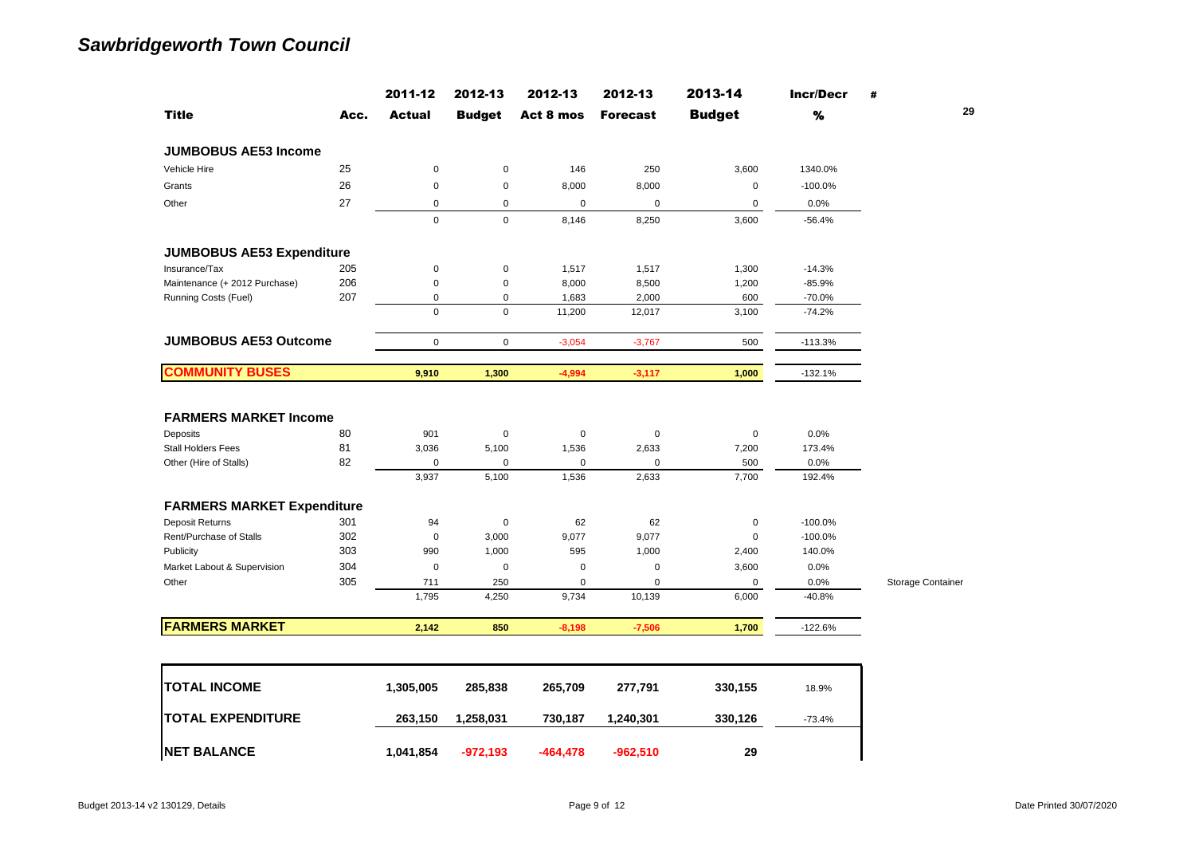|                                                                                                 |                | 2011-12                              | 2012-13                                    | 2012-13                                    | 2012-13                                    | 2013-14                            | <b>Incr/Decr</b>                 | #                 |
|-------------------------------------------------------------------------------------------------|----------------|--------------------------------------|--------------------------------------------|--------------------------------------------|--------------------------------------------|------------------------------------|----------------------------------|-------------------|
| <b>Title</b>                                                                                    | Acc.           | <b>Actual</b>                        | <b>Budget</b>                              | Act 8 mos                                  | <b>Forecast</b>                            | <b>Budget</b>                      | %                                | 29                |
| <b>JUMBOBUS AE53 Income</b>                                                                     |                |                                      |                                            |                                            |                                            |                                    |                                  |                   |
| Vehicle Hire                                                                                    | 25             | 0                                    | $\mathsf 0$                                | 146                                        | 250                                        | 3,600                              | 1340.0%                          |                   |
| Grants                                                                                          | 26             | 0                                    | $\mathsf 0$                                | 8,000                                      | 8,000                                      | $\pmb{0}$                          | $-100.0%$                        |                   |
| Other                                                                                           | 27             | 0                                    | $\mathsf 0$                                | $\mathbf 0$                                | $\pmb{0}$                                  | $\pmb{0}$                          | 0.0%                             |                   |
|                                                                                                 |                | 0                                    | $\mathsf 0$                                | 8,146                                      | 8,250                                      | 3,600                              | $-56.4%$                         |                   |
| <b>JUMBOBUS AE53 Expenditure</b>                                                                |                |                                      |                                            |                                            |                                            |                                    |                                  |                   |
| Insurance/Tax                                                                                   | 205            | 0                                    | $\pmb{0}$                                  | 1,517                                      | 1,517                                      | 1,300                              | $-14.3%$                         |                   |
| Maintenance (+ 2012 Purchase)                                                                   | 206            | 0                                    | $\mathsf 0$                                | 8,000                                      | 8,500                                      | 1,200                              | $-85.9%$                         |                   |
| Running Costs (Fuel)                                                                            | 207            | 0                                    | $\mathbf 0$                                | 1,683                                      | 2,000                                      | 600                                | $-70.0%$                         |                   |
|                                                                                                 |                | $\mathbf 0$                          | $\mathbf 0$                                | 11,200                                     | 12,017                                     | 3,100                              | $-74.2%$                         |                   |
| <b>JUMBOBUS AE53 Outcome</b>                                                                    |                | $\mathsf 0$                          | $\mathbf 0$                                | $-3,054$                                   | $-3,767$                                   | 500                                | $-113.3%$                        |                   |
| <b>COMMUNITY BUSES</b>                                                                          |                | 9,910                                | 1,300                                      | $-4,994$                                   | $-3,117$                                   | 1,000                              | $-132.1%$                        |                   |
| <b>FARMERS MARKET Income</b><br>Deposits<br><b>Stall Holders Fees</b><br>Other (Hire of Stalls) | 80<br>81<br>82 | 901<br>3,036<br>$\mathbf 0$<br>3,937 | $\pmb{0}$<br>5,100<br>$\mathbf 0$<br>5,100 | $\pmb{0}$<br>1,536<br>$\mathbf 0$<br>1,536 | $\pmb{0}$<br>2,633<br>$\mathbf 0$<br>2,633 | $\pmb{0}$<br>7,200<br>500<br>7,700 | 0.0%<br>173.4%<br>0.0%<br>192.4% |                   |
| <b>FARMERS MARKET Expenditure</b>                                                               |                |                                      |                                            |                                            |                                            |                                    |                                  |                   |
| Deposit Returns                                                                                 | 301            | 94                                   | $\pmb{0}$                                  | 62                                         | 62                                         | $\pmb{0}$                          | $-100.0%$                        |                   |
| Rent/Purchase of Stalls                                                                         | 302            | $\pmb{0}$                            | 3,000                                      | 9,077                                      | 9,077                                      | $\pmb{0}$                          | $-100.0%$                        |                   |
| Publicity                                                                                       | 303            | 990                                  | 1,000                                      | 595                                        | 1,000                                      | 2,400                              | 140.0%                           |                   |
| Market Labout & Supervision                                                                     | 304            | $\mathsf 0$                          | $\mathbf 0$                                | $\mathbf 0$                                | $\mathbf 0$                                | 3,600                              | 0.0%                             |                   |
| Other                                                                                           | 305            | 711                                  | 250                                        | $\mathbf 0$                                | $\mathbf 0$                                | 0                                  | 0.0%                             | Storage Container |
|                                                                                                 |                | 1,795                                | 4,250                                      | 9,734                                      | 10,139                                     | 6,000                              | $-40.8%$                         |                   |
| <b>FARMERS MARKET</b>                                                                           |                | 2,142                                | 850                                        | $-8,198$                                   | $-7,506$                                   | 1,700                              | $-122.6%$                        |                   |
|                                                                                                 |                |                                      |                                            |                                            |                                            |                                    |                                  |                   |
| <b>TOTAL INCOME</b>                                                                             |                | 1,305,005                            | 285,838                                    | 265,709                                    | 277,791                                    | 330,155                            | 18.9%                            |                   |
| <b>TOTAL EXPENDITURE</b>                                                                        |                | 263,150                              | 1,258,031                                  | 730,187                                    | 1,240,301                                  | 330,126                            | $-73.4%$                         |                   |
| <b>NET BALANCE</b>                                                                              |                | 1,041,854                            | $-972,193$                                 | $-464, 478$                                | $-962,510$                                 | 29                                 |                                  |                   |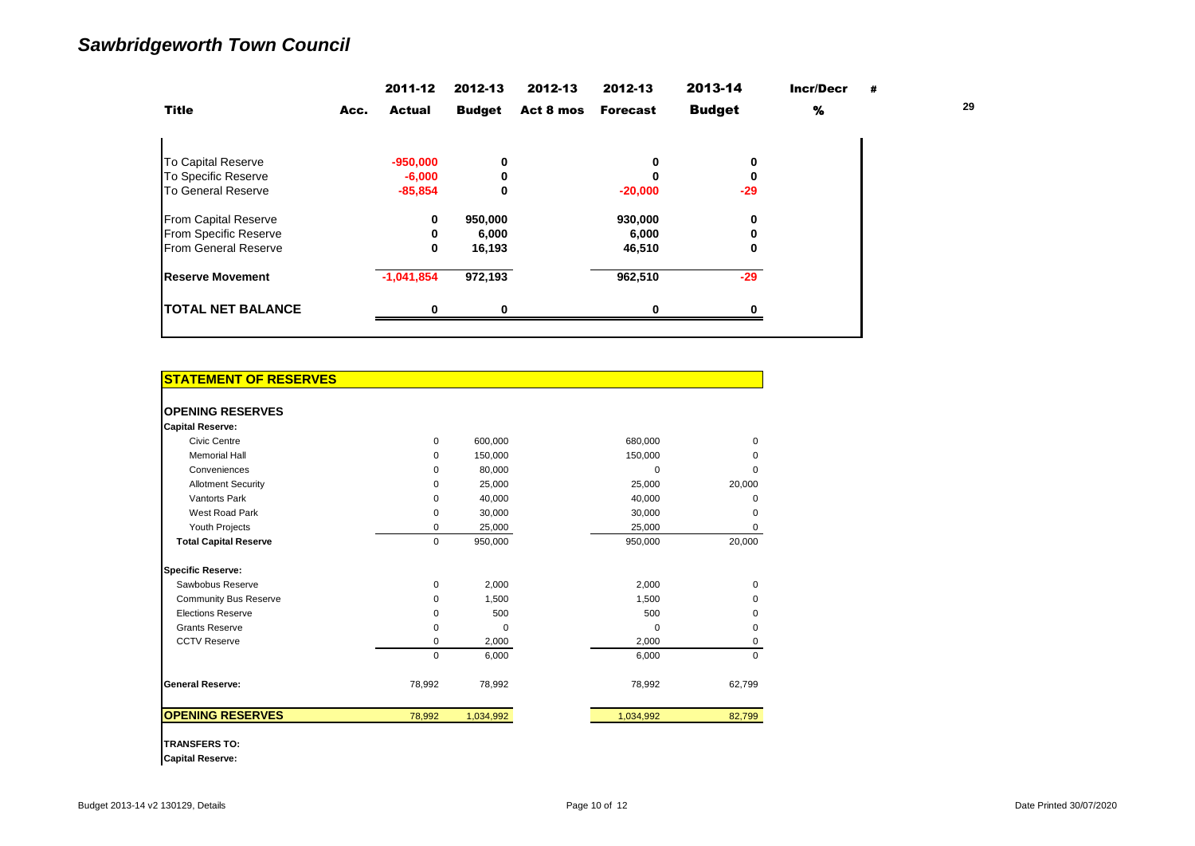|                             | 2011-12               | 2012-13       | 2012-13   | 2012-13         | 2013-14       | <b>Incr/Decr</b> | # |    |
|-----------------------------|-----------------------|---------------|-----------|-----------------|---------------|------------------|---|----|
| <b>Title</b>                | <b>Actual</b><br>Acc. | <b>Budget</b> | Act 8 mos | <b>Forecast</b> | <b>Budget</b> | %                |   | 29 |
|                             |                       |               |           |                 |               |                  |   |    |
| <b>To Capital Reserve</b>   | $-950,000$            | 0             |           |                 | 0             |                  |   |    |
| To Specific Reserve         | $-6,000$              |               |           |                 | 0             |                  |   |    |
| <b>To General Reserve</b>   | $-85,854$             | 0             |           | $-20,000$       | $-29$         |                  |   |    |
| <b>From Capital Reserve</b> | 0                     | 950,000       |           | 930,000         | 0             |                  |   |    |
| From Specific Reserve       |                       | 6,000         |           | 6,000           | 0             |                  |   |    |
| <b>From General Reserve</b> | 0                     | 16,193        |           | 46,510          | 0             |                  |   |    |
| <b>Reserve Movement</b>     | $-1,041,854$          | 972,193       |           | 962,510         | $-29$         |                  |   |    |
| <b>TOTAL NET BALANCE</b>    | ŋ                     |               |           |                 | Ω             |                  |   |    |

| <b>STATEMENT OF RESERVES</b> |             |           |           |          |
|------------------------------|-------------|-----------|-----------|----------|
|                              |             |           |           |          |
| <b>OPENING RESERVES</b>      |             |           |           |          |
| <b>Capital Reserve:</b>      |             |           |           |          |
| Civic Centre                 | $\Omega$    | 600.000   | 680.000   | $\Omega$ |
| <b>Memorial Hall</b>         | $\Omega$    | 150,000   | 150,000   | 0        |
| Conveniences                 | $\Omega$    | 80.000    | $\Omega$  | $\Omega$ |
| <b>Allotment Security</b>    | $\Omega$    | 25,000    | 25,000    | 20,000   |
| <b>Vantorts Park</b>         | 0           | 40,000    | 40,000    | 0        |
| West Road Park               | $\Omega$    | 30.000    | 30,000    | $\Omega$ |
| Youth Projects               | 0           | 25,000    | 25,000    | 0        |
| <b>Total Capital Reserve</b> | $\mathbf 0$ | 950,000   | 950,000   | 20,000   |
| <b>Specific Reserve:</b>     |             |           |           |          |
| Sawbobus Reserve             | $\Omega$    | 2,000     | 2,000     | 0        |
| <b>Community Bus Reserve</b> | $\Omega$    | 1,500     | 1,500     | 0        |
| <b>Elections Reserve</b>     | $\Omega$    | 500       | 500       | 0        |
| <b>Grants Reserve</b>        | 0           | $\Omega$  | $\Omega$  | 0        |
| <b>CCTV Reserve</b>          | 0           | 2,000     | 2,000     | 0        |
|                              | $\mathbf 0$ | 6,000     | 6,000     | 0        |
| <b>General Reserve:</b>      | 78,992      | 78,992    | 78,992    | 62,799   |
| <b>OPENING RESERVES</b>      | 78,992      | 1,034,992 | 1,034,992 | 82,799   |

**TRANSFERS TO:**

**Capital Reserve:**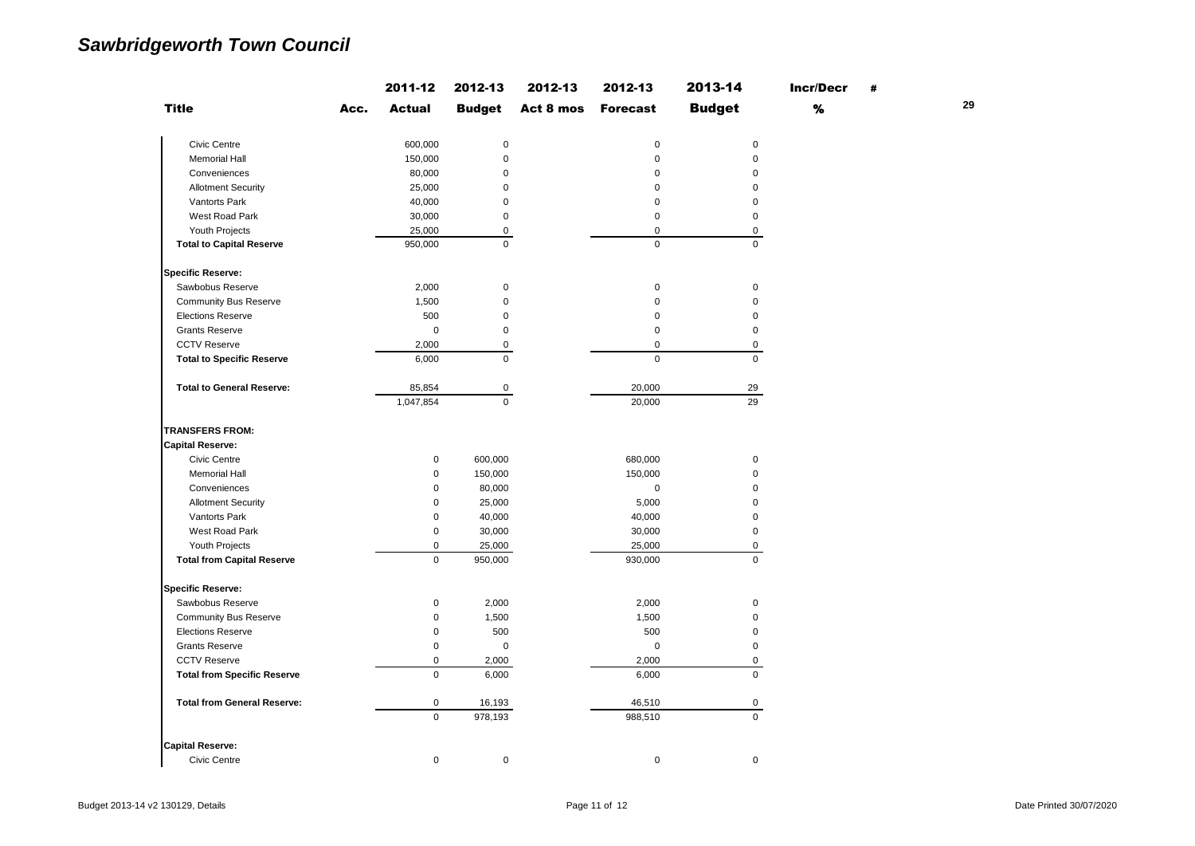|                                    |      | 2011-12             | 2012-13             | 2012-13   | 2012-13         | 2013-14             | <b>Incr/Decr</b> | # |    |
|------------------------------------|------|---------------------|---------------------|-----------|-----------------|---------------------|------------------|---|----|
| <b>Title</b>                       | Acc. | <b>Actual</b>       | <b>Budget</b>       | Act 8 mos | <b>Forecast</b> | <b>Budget</b>       | $\%$             |   | 29 |
| Civic Centre                       |      | 600,000             | $\mathbf 0$         |           | $\mathbf 0$     | $\mathsf{O}\xspace$ |                  |   |    |
| <b>Memorial Hall</b>               |      | 150,000             | $\mathsf 0$         |           | $\mathsf 0$     | $\mathsf 0$         |                  |   |    |
| Conveniences                       |      | 80,000              | $\mathbf 0$         |           | $\mathbf 0$     | $\mathbf 0$         |                  |   |    |
| <b>Allotment Security</b>          |      | 25,000              | $\mathbf 0$         |           | $\mathbf 0$     | $\mathbf 0$         |                  |   |    |
| Vantorts Park                      |      | 40,000              | $\mathsf 0$         |           | $\mathbf 0$     | $\mathsf 0$         |                  |   |    |
| West Road Park                     |      | 30,000              | $\mathsf 0$         |           | $\mathbf 0$     | $\mathsf 0$         |                  |   |    |
| Youth Projects                     |      | 25,000              | $\mathsf 0$         |           | $\mathbf 0$     | $\mathbf 0$         |                  |   |    |
| <b>Total to Capital Reserve</b>    |      | 950,000             | $\mathbf 0$         |           | $\mathbf 0$     | $\mathbf 0$         |                  |   |    |
| <b>Specific Reserve:</b>           |      |                     |                     |           |                 |                     |                  |   |    |
| Sawbobus Reserve                   |      | 2,000               | $\mathsf 0$         |           | $\mathsf 0$     | $\mathsf 0$         |                  |   |    |
| <b>Community Bus Reserve</b>       |      | 1,500               | $\mathbf 0$         |           | $\mathbf 0$     | $\mathbf 0$         |                  |   |    |
| <b>Elections Reserve</b>           |      | 500                 | $\mathbf 0$         |           | $\mathbf 0$     | $\mathbf 0$         |                  |   |    |
| <b>Grants Reserve</b>              |      | $\mathsf 0$         | $\mathsf 0$         |           | $\mathbf 0$     | $\mathsf 0$         |                  |   |    |
| <b>CCTV Reserve</b>                |      | 2,000               | $\mathsf 0$         |           | $\pmb{0}$       | $\mathbf 0$         |                  |   |    |
| <b>Total to Specific Reserve</b>   |      | 6,000               | $\mathbf 0$         |           | $\mathbf 0$     | $\mathbf 0$         |                  |   |    |
| <b>Total to General Reserve:</b>   |      | 85,854              | $\mathsf{O}\xspace$ |           | 20,000          | 29                  |                  |   |    |
|                                    |      | 1,047,854           | $\Omega$            |           | 20,000          | 29                  |                  |   |    |
| <b>TRANSFERS FROM:</b>             |      |                     |                     |           |                 |                     |                  |   |    |
| <b>Capital Reserve:</b>            |      |                     |                     |           |                 |                     |                  |   |    |
| Civic Centre                       |      | $\pmb{0}$           | 600,000             |           | 680,000         | $\mathsf 0$         |                  |   |    |
| <b>Memorial Hall</b>               |      | $\pmb{0}$           | 150,000             |           | 150,000         | $\mathsf 0$         |                  |   |    |
| Conveniences                       |      | 0                   | 80,000              |           | $\pmb{0}$       | $\mathsf 0$         |                  |   |    |
| <b>Allotment Security</b>          |      | 0                   | 25,000              |           | 5,000           | $\mathsf 0$         |                  |   |    |
| Vantorts Park                      |      | 0                   | 40,000              |           | 40,000          | $\pmb{0}$           |                  |   |    |
| West Road Park                     |      | $\mathsf{O}\xspace$ | 30,000              |           | 30,000          | $\mathsf 0$         |                  |   |    |
| Youth Projects                     |      | $\pmb{0}$           | 25,000              |           | 25,000          | $\mathsf{O}\xspace$ |                  |   |    |
| <b>Total from Capital Reserve</b>  |      | $\pmb{0}$           | 950,000             |           | 930,000         | $\mathbf 0$         |                  |   |    |
| <b>Specific Reserve:</b>           |      |                     |                     |           |                 |                     |                  |   |    |
| Sawbobus Reserve                   |      | $\mathsf{O}\xspace$ | 2,000               |           | 2,000           | $\mathsf 0$         |                  |   |    |
| <b>Community Bus Reserve</b>       |      | 0                   | 1,500               |           | 1,500           | $\mathsf 0$         |                  |   |    |
| <b>Elections Reserve</b>           |      | 0                   | 500                 |           | 500             | $\mathsf 0$         |                  |   |    |
| <b>Grants Reserve</b>              |      | 0                   | $\pmb{0}$           |           | $\mathbf 0$     | $\mathsf 0$         |                  |   |    |
| <b>CCTV Reserve</b>                |      | 0                   | 2,000               |           | 2,000           | 0                   |                  |   |    |
| <b>Total from Specific Reserve</b> |      | $\mathsf 0$         | 6,000               |           | 6,000           | $\mathbf 0$         |                  |   |    |
| <b>Total from General Reserve:</b> |      | 0                   | 16,193              |           | 46,510          | 0                   |                  |   |    |
|                                    |      | $\mathbf 0$         | 978,193             |           | 988,510         | $\mathbf 0$         |                  |   |    |
| <b>Capital Reserve:</b>            |      |                     |                     |           |                 |                     |                  |   |    |
| <b>Civic Centre</b>                |      | 0                   | $\mathsf 0$         |           | $\mathsf 0$     | $\mathsf{O}\xspace$ |                  |   |    |